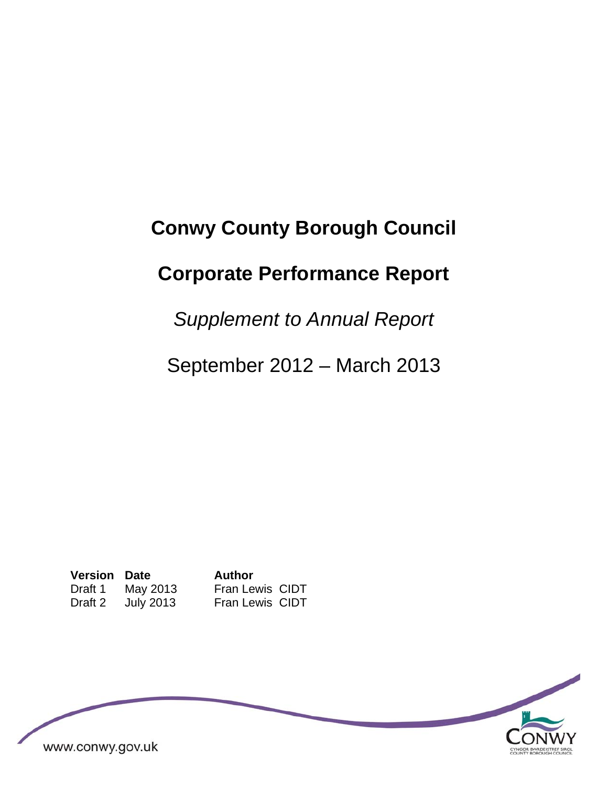# **Conwy County Borough Council**

# **Corporate Performance Report**

*Supplement to Annual Report* 

September 2012 – March 2013

**Version Date Author**  Draft 1 May 2013 Fran Lewis CIDT<br>Draft 2 July 2013 Fran Lewis CIDT Draft 2 July 2013 Fran Lewis CIDT

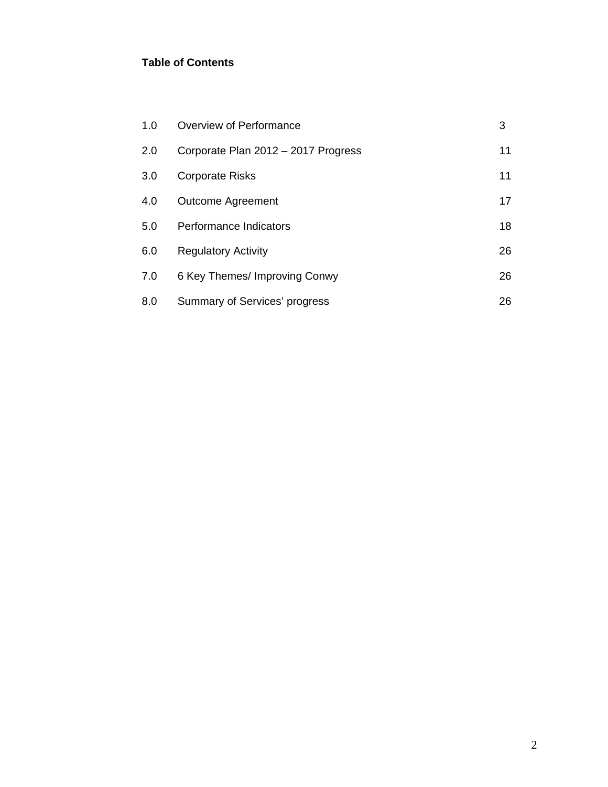#### **Table of Contents**

| 1.0 | Overview of Performance             | 3  |
|-----|-------------------------------------|----|
| 2.0 | Corporate Plan 2012 - 2017 Progress | 11 |
| 3.0 | <b>Corporate Risks</b>              | 11 |
| 4.0 | <b>Outcome Agreement</b>            | 17 |
| 5.0 | Performance Indicators              | 18 |
| 6.0 | <b>Regulatory Activity</b>          | 26 |
| 7.0 | 6 Key Themes/ Improving Conwy       | 26 |
| 8.0 | Summary of Services' progress       | 26 |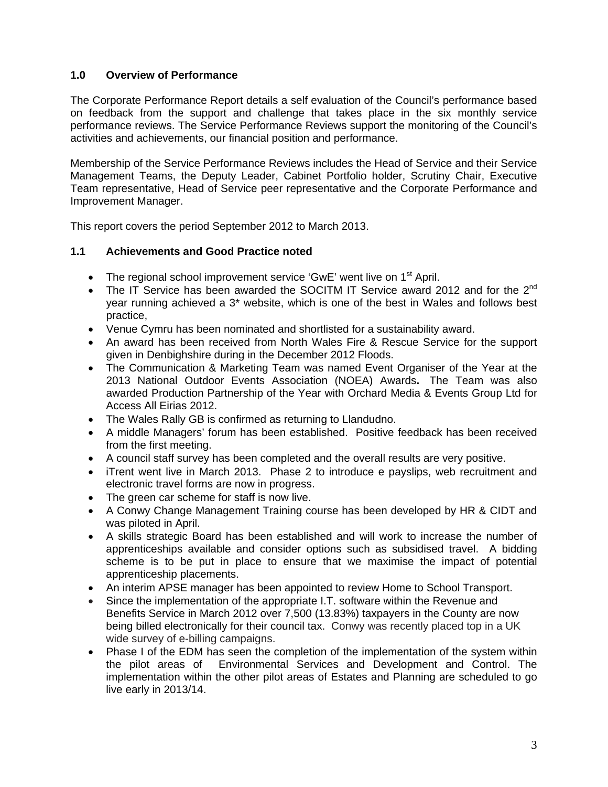#### **1.0 Overview of Performance**

The Corporate Performance Report details a self evaluation of the Council's performance based on feedback from the support and challenge that takes place in the six monthly service performance reviews. The Service Performance Reviews support the monitoring of the Council's activities and achievements, our financial position and performance.

Membership of the Service Performance Reviews includes the Head of Service and their Service Management Teams, the Deputy Leader, Cabinet Portfolio holder, Scrutiny Chair, Executive Team representative, Head of Service peer representative and the Corporate Performance and Improvement Manager.

This report covers the period September 2012 to March 2013.

#### **1.1 Achievements and Good Practice noted**

- The regional school improvement service 'GwE' went live on  $1<sup>st</sup>$  April.
- The IT Service has been awarded the SOCITM IT Service award 2012 and for the 2<sup>nd</sup> year running achieved a 3\* website, which is one of the best in Wales and follows best practice,
- Venue Cymru has been nominated and shortlisted for a sustainability award.
- An award has been received from North Wales Fire & Rescue Service for the support given in Denbighshire during in the December 2012 Floods.
- The Communication & Marketing Team was named Event Organiser of the Year at the 2013 National Outdoor Events Association (NOEA) Awards**.** The Team was also awarded Production Partnership of the Year with Orchard Media & Events Group Ltd for Access All Eirias 2012.
- The Wales Rally GB is confirmed as returning to Llandudno.
- A middle Managers' forum has been established. Positive feedback has been received from the first meeting.
- A council staff survey has been completed and the overall results are very positive.
- iTrent went live in March 2013. Phase 2 to introduce e payslips, web recruitment and electronic travel forms are now in progress.
- The green car scheme for staff is now live.
- A Conwy Change Management Training course has been developed by HR & CIDT and was piloted in April.
- A skills strategic Board has been established and will work to increase the number of apprenticeships available and consider options such as subsidised travel. A bidding scheme is to be put in place to ensure that we maximise the impact of potential apprenticeship placements.
- An interim APSE manager has been appointed to review Home to School Transport.
- Since the implementation of the appropriate I.T. software within the Revenue and Benefits Service in March 2012 over 7,500 (13.83%) taxpayers in the County are now being billed electronically for their council tax. Conwy was recently placed top in a UK wide survey of e-billing campaigns.
- Phase I of the EDM has seen the completion of the implementation of the system within the pilot areas of Environmental Services and Development and Control. The implementation within the other pilot areas of Estates and Planning are scheduled to go live early in 2013/14.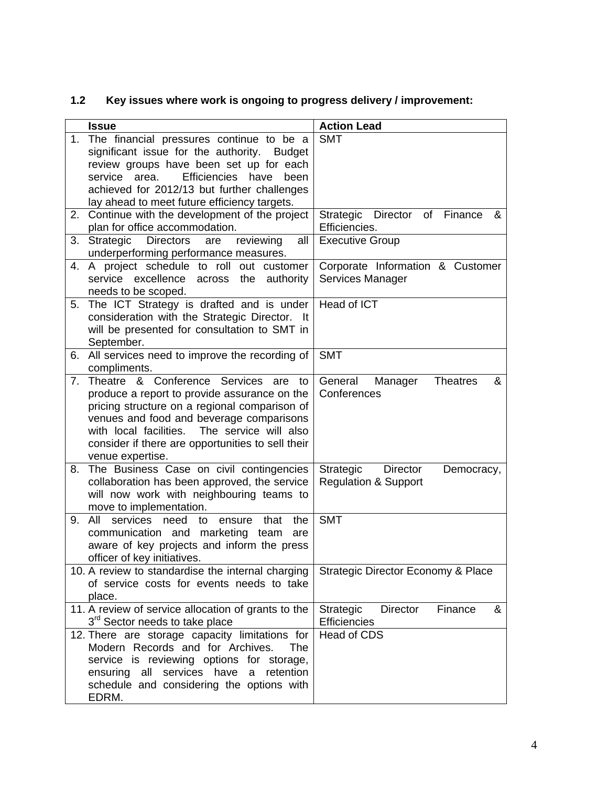# **1.2 Key issues where work is ongoing to progress delivery / improvement:**

| Director of Finance<br>&           |
|------------------------------------|
|                                    |
|                                    |
|                                    |
| Corporate Information & Customer   |
|                                    |
|                                    |
|                                    |
|                                    |
|                                    |
|                                    |
|                                    |
|                                    |
| &<br><b>Theatres</b>               |
|                                    |
|                                    |
|                                    |
|                                    |
|                                    |
|                                    |
| Democracy,                         |
|                                    |
|                                    |
|                                    |
|                                    |
|                                    |
|                                    |
| Strategic Director Economy & Place |
|                                    |
|                                    |
| &                                  |
|                                    |
|                                    |
|                                    |
|                                    |
|                                    |
|                                    |
|                                    |
| Finance                            |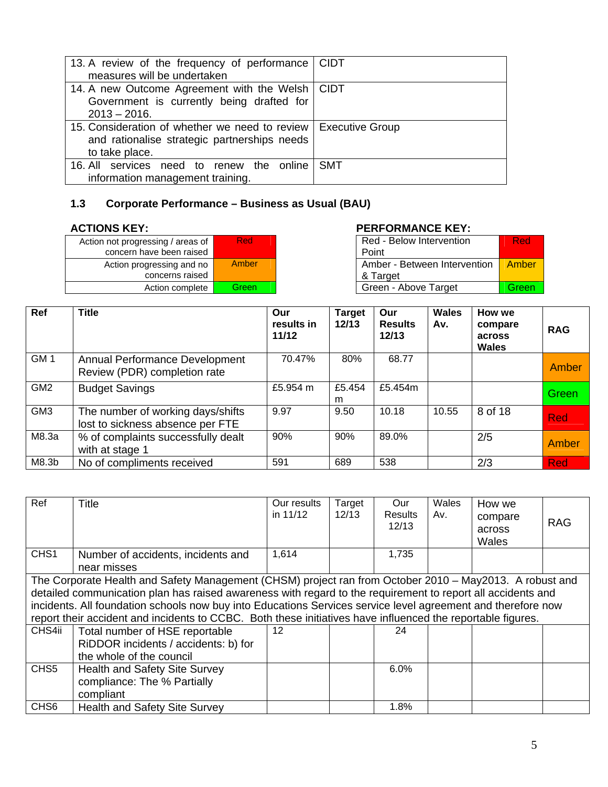| 13. A review of the frequency of performance   CIDT<br>measures will be undertaken                               |                        |
|------------------------------------------------------------------------------------------------------------------|------------------------|
| 14. A new Outcome Agreement with the Welsh   CIDT<br>Government is currently being drafted for<br>$2013 - 2016.$ |                        |
| 15. Consideration of whether we need to review<br>and rationalise strategic partnerships needs<br>to take place. | <b>Executive Group</b> |
| 16. All services need to renew the online<br>information management training.                                    | SMT                    |

# **1.3 Corporate Performance – Business as Usual (BAU)**

| Action not progressing / areas of<br>concern have been raised | Red   |
|---------------------------------------------------------------|-------|
| Action progressing and no<br>concerns raised                  | Amber |
| Action complete                                               | Green |

### **ACTIONS KEY: PERFORMANCE KEY:**

| essing / areas of | <b>Red</b> | Red - Below Intervention     | Red   |
|-------------------|------------|------------------------------|-------|
| ave been raised   |            | Point                        |       |
| gressing and no   | Amber      | Amber - Between Intervention | Amber |
| concerns raised   |            | & Target                     |       |
| Action complete   | Green      | Green - Above Target         | Green |
|                   |            |                              |       |

| <b>Ref</b>      | <b>Title</b>                                                          | Our<br>results in<br>11/12 | <b>Target</b><br>12/13 | Our<br><b>Results</b><br>12/13 | Wales<br>Av. | How we<br>compare<br>across<br><b>Wales</b> | <b>RAG</b>   |
|-----------------|-----------------------------------------------------------------------|----------------------------|------------------------|--------------------------------|--------------|---------------------------------------------|--------------|
| GM <sub>1</sub> | Annual Performance Development<br>Review (PDR) completion rate        | 70.47%                     | 80%                    | 68.77                          |              |                                             | Amber        |
| GM <sub>2</sub> | <b>Budget Savings</b>                                                 | £5.954 $m$                 | £5.454<br>m            | £5.454m                        |              |                                             | Green        |
| GM <sub>3</sub> | The number of working days/shifts<br>lost to sickness absence per FTE | 9.97                       | 9.50                   | 10.18                          | 10.55        | 8 of 18                                     | <b>Red</b>   |
| M8.3a           | % of complaints successfully dealt<br>with at stage 1                 | 90%                        | 90%                    | 89.0%                          |              | 2/5                                         | <b>Amber</b> |
| M8.3b           | No of compliments received                                            | 591                        | 689                    | 538                            |              | 2/3                                         | <b>Red</b>   |

| Ref              | Title                                                                                                                                                                                                                                                                                                                                                                                                                                                 | Our results<br>in $11/12$ | Target<br>12/13 | Our<br>Results<br>12/13 | Wales<br>Av. | How we<br>compare<br>across<br>Wales | <b>RAG</b> |
|------------------|-------------------------------------------------------------------------------------------------------------------------------------------------------------------------------------------------------------------------------------------------------------------------------------------------------------------------------------------------------------------------------------------------------------------------------------------------------|---------------------------|-----------------|-------------------------|--------------|--------------------------------------|------------|
| CHS <sub>1</sub> | Number of accidents, incidents and<br>near misses                                                                                                                                                                                                                                                                                                                                                                                                     | 1,614                     |                 | 1,735                   |              |                                      |            |
|                  | The Corporate Health and Safety Management (CHSM) project ran from October 2010 - May2013. A robust and<br>detailed communication plan has raised awareness with regard to the requirement to report all accidents and<br>incidents. All foundation schools now buy into Educations Services service level agreement and therefore now<br>report their accident and incidents to CCBC. Both these initiatives have influenced the reportable figures. |                           |                 |                         |              |                                      |            |
| CHS4ii           | Total number of HSE reportable<br>RiDDOR incidents / accidents: b) for<br>the whole of the council                                                                                                                                                                                                                                                                                                                                                    | 12 <sup>2</sup>           |                 | 24                      |              |                                      |            |
| CHS <sub>5</sub> | <b>Health and Safety Site Survey</b><br>compliance: The % Partially<br>compliant                                                                                                                                                                                                                                                                                                                                                                      |                           |                 | 6.0%                    |              |                                      |            |
| CHS <sub>6</sub> | <b>Health and Safety Site Survey</b>                                                                                                                                                                                                                                                                                                                                                                                                                  |                           |                 | 1.8%                    |              |                                      |            |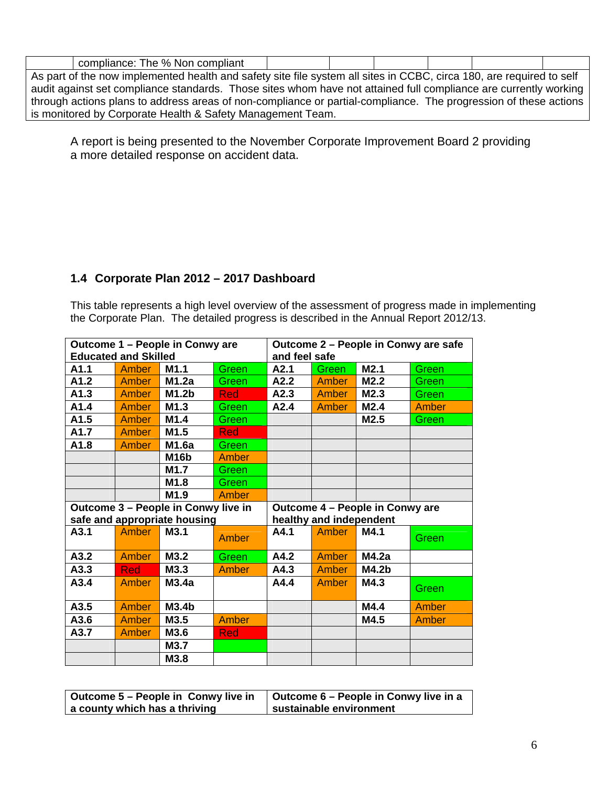| compliance: The % Non compliant                                                                                      |  |  |  |
|----------------------------------------------------------------------------------------------------------------------|--|--|--|
| As part of the now implemented health and safety site file system all sites in CCBC, circa 180, are required to self |  |  |  |
| audit against set compliance standards. Those sites whom have not attained full compliance are currently working     |  |  |  |
| through actions plans to address areas of non-compliance or partial-compliance. The progression of these actions     |  |  |  |
| is monitored by Corporate Health & Safety Management Team.                                                           |  |  |  |

A report is being presented to the November Corporate Improvement Board 2 providing a more detailed response on accident data.

#### **1.4 Corporate Plan 2012 – 2017 Dashboard**

This table represents a high level overview of the assessment of progress made in implementing the Corporate Plan. The detailed progress is described in the Annual Report 2012/13.

| Outcome 1 - People in Conwy are     |              |                              | Outcome 2 - People in Conwy are safe |                                 |                         |       |              |  |
|-------------------------------------|--------------|------------------------------|--------------------------------------|---------------------------------|-------------------------|-------|--------------|--|
| <b>Educated and Skilled</b>         |              |                              | and feel safe                        |                                 |                         |       |              |  |
| A1.1                                | Amber        | M1.1                         | Green                                | A2.1                            | Green                   | M2.1  | Green        |  |
| A1.2                                | Amber        | M1.2a                        | Green                                | A2.2                            | Amber                   | M2.2  | Green        |  |
| A1.3                                | <b>Amber</b> | M1.2 <sub>b</sub>            | Red                                  | A2.3                            | <b>Amber</b>            | M2.3  | Green        |  |
| A1.4                                | <b>Amber</b> | M1.3                         | Green                                | A2.4                            | <b>Amber</b>            | M2.4  | <b>Amber</b> |  |
| A1.5                                | Amber        | M1.4                         | Green                                |                                 |                         | M2.5  | Green        |  |
| A1.7                                | Amber        | M1.5                         | Red                                  |                                 |                         |       |              |  |
| A1.8                                | Amber        | M1.6a                        | Green                                |                                 |                         |       |              |  |
|                                     |              | M <sub>16</sub> b            | <b>Amber</b>                         |                                 |                         |       |              |  |
|                                     |              | M <sub>1.7</sub>             | Green                                |                                 |                         |       |              |  |
|                                     |              | M1.8                         | Green                                |                                 |                         |       |              |  |
|                                     |              | M1.9                         | <b>Amber</b>                         |                                 |                         |       |              |  |
| Outcome 3 - People in Conwy live in |              |                              |                                      | Outcome 4 - People in Conwy are |                         |       |              |  |
|                                     |              |                              |                                      |                                 |                         |       |              |  |
|                                     |              | safe and appropriate housing |                                      |                                 | healthy and independent |       |              |  |
| A3.1                                | Amber        | M3.1                         | <b>Amber</b>                         | A4.1                            | Amber                   | M4.1  | Green        |  |
| A3.2                                | <b>Amber</b> | M3.2                         | Green                                | A4.2                            | Amber                   | M4.2a |              |  |
| A3.3                                | Red          |                              | <b>Amber</b>                         | A4.3                            | Amber                   | M4.2b |              |  |
| A3.4                                | Amber        | M3.3<br>M3.4a                |                                      | A4.4                            | Amber                   | M4.3  | Green        |  |
| A3.5                                | <b>Amber</b> | M3.4 <sub>b</sub>            |                                      |                                 |                         | M4.4  | <b>Amber</b> |  |
| A3.6                                | <b>Amber</b> | M3.5                         | Amber                                |                                 |                         | M4.5  | <b>Amber</b> |  |
| A3.7                                | Amber        | M3.6                         | <b>Red</b>                           |                                 |                         |       |              |  |
|                                     |              | M3.7                         |                                      |                                 |                         |       |              |  |

| Outcome 5 – People in Conwy live in | Outcome 6 – People in Conwy live in a |
|-------------------------------------|---------------------------------------|
| a county which has a thriving       | sustainable environment               |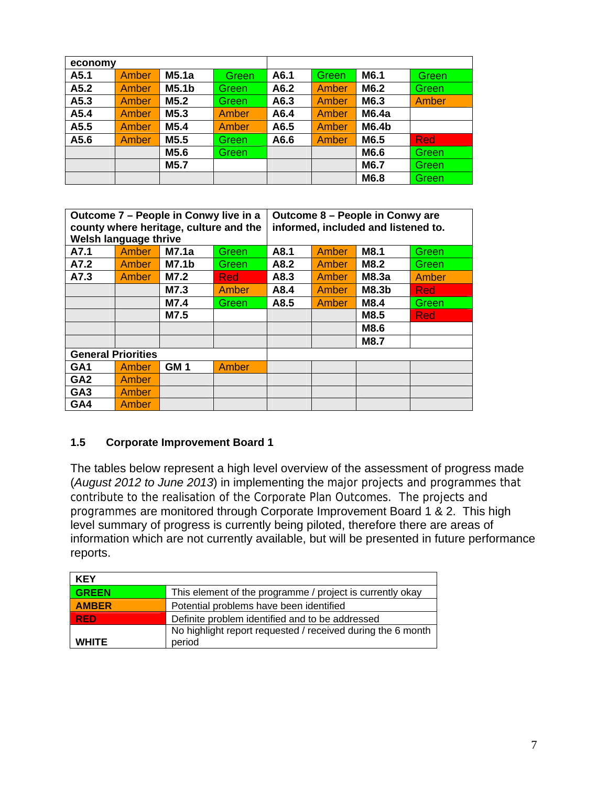| economy |              |                   |              |      |              |       |              |
|---------|--------------|-------------------|--------------|------|--------------|-------|--------------|
| A5.1    | <b>Amber</b> | M5.1a             | Greenl       | A6.1 | <b>Green</b> | M6.1  | Green        |
| A5.2    | <b>Amber</b> | M5.1 <sub>b</sub> | Green        | A6.2 | <b>Amber</b> | M6.2  | Green        |
| A5.3    | <b>Amber</b> | M5.2              | Green.       | A6.3 | <b>Amber</b> | M6.3  | Amber        |
| A5.4    | <b>Amber</b> | M <sub>5.3</sub>  | <b>Amber</b> | A6.4 | <b>Amber</b> | M6.4a |              |
| A5.5    | <b>Amber</b> | M <sub>5.4</sub>  | <b>Amber</b> | A6.5 | Amber        | M6.4b |              |
| A5.6    | <b>Amber</b> | M5.5              | Green        | A6.6 | <b>Amber</b> | M6.5  | <b>Red</b>   |
|         |              | M5.6              | Green        |      |              | M6.6  | <b>Green</b> |
|         |              | M5.7              |              |      |              | M6.7  | Green        |
|         |              |                   |              |      |              | M6.8  | Green        |

| Outcome 7 - People in Conwy live in a<br>county where heritage, culture and the<br>Welsh language thrive |              |                 | Outcome 8 - People in Conwy are<br>informed, included and listened to. |      |              |             |       |
|----------------------------------------------------------------------------------------------------------|--------------|-----------------|------------------------------------------------------------------------|------|--------------|-------------|-------|
| A7.1                                                                                                     | <b>Amber</b> | M7.1a           | Green                                                                  | A8.1 | <b>Amber</b> | M8.1        | Green |
| A7.2                                                                                                     | Amber        | <b>M7.1b</b>    | Green                                                                  | A8.2 | Amber        | <b>M8.2</b> | Green |
| A7.3                                                                                                     | Amber        | M7.2            | <b>Red</b>                                                             | A8.3 | Amber        | M8.3a       | Amber |
|                                                                                                          |              | M7.3            | <b>Amber</b>                                                           | A8.4 | Amber        | M8.3b       | Red   |
|                                                                                                          |              | M7.4            | Green                                                                  | A8.5 | Amber        | M8.4        | Green |
|                                                                                                          |              | M7.5            |                                                                        |      |              | M8.5        | Red   |
|                                                                                                          |              |                 |                                                                        |      |              | M8.6        |       |
|                                                                                                          |              |                 |                                                                        |      |              | <b>M8.7</b> |       |
| <b>General Priorities</b>                                                                                |              |                 |                                                                        |      |              |             |       |
| GA <sub>1</sub>                                                                                          | Amber        | GM <sub>1</sub> | Amber                                                                  |      |              |             |       |
| GA <sub>2</sub>                                                                                          | Amber        |                 |                                                                        |      |              |             |       |
| GA <sub>3</sub>                                                                                          | Amber        |                 |                                                                        |      |              |             |       |
| GA4                                                                                                      | Amber        |                 |                                                                        |      |              |             |       |

#### **1.5 Corporate Improvement Board 1**

The tables below represent a high level overview of the assessment of progress made (*August 2012 to June 2013*) in implementing the major projects and programmes that contribute to the realisation of the Corporate Plan Outcomes. The projects and programmes are monitored through Corporate Improvement Board 1 & 2. This high level summary of progress is currently being piloted, therefore there are areas of information which are not currently available, but will be presented in future performance reports.

| <b>KEY</b>   |                                                             |
|--------------|-------------------------------------------------------------|
| <b>GREEN</b> | This element of the programme / project is currently okay   |
| <b>AMBER</b> | Potential problems have been identified                     |
| <b>RED</b>   | Definite problem identified and to be addressed             |
|              | No highlight report requested / received during the 6 month |
| <b>WHITE</b> | period                                                      |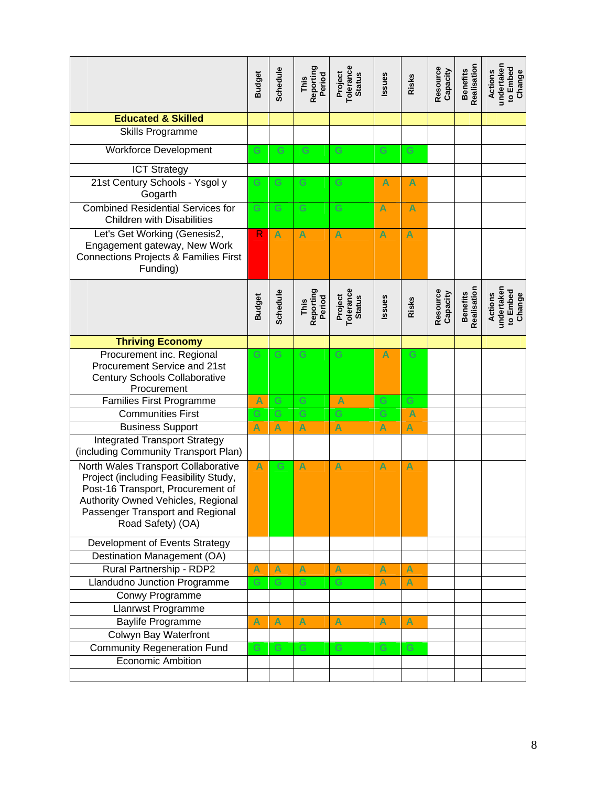|                                                                                                                                                                                                                  | <b>Budget</b> | Schedule      | Reporting<br>Period<br>This | Tolerance<br>Project<br><b>Status</b> | Issues        | Risks         | Resource<br>Capacity | Realisation<br><b>Benefits</b> | undertaken<br>to Embed<br><b>Actions</b><br>Change |
|------------------------------------------------------------------------------------------------------------------------------------------------------------------------------------------------------------------|---------------|---------------|-----------------------------|---------------------------------------|---------------|---------------|----------------------|--------------------------------|----------------------------------------------------|
| <b>Educated &amp; Skilled</b>                                                                                                                                                                                    |               |               |                             |                                       |               |               |                      |                                |                                                    |
| <b>Skills Programme</b>                                                                                                                                                                                          |               |               |                             |                                       |               |               |                      |                                |                                                    |
| <b>Workforce Development</b>                                                                                                                                                                                     | G             | ${\mathbb G}$ | G                           | G                                     | G             | G             |                      |                                |                                                    |
| <b>ICT Strategy</b>                                                                                                                                                                                              |               |               |                             |                                       |               |               |                      |                                |                                                    |
| 21st Century Schools - Ysgol y<br>Gogarth                                                                                                                                                                        | G             | G             | ${\mathbb G}$               | ${\mathbb G}$                         | A             | A             |                      |                                |                                                    |
| <b>Combined Residential Services for</b><br><b>Children with Disabilities</b>                                                                                                                                    | G.            | G             | ${\mathbb G}$               | G                                     | A             | A             |                      |                                |                                                    |
| Let's Get Working (Genesis2,<br>Engagement gateway, New Work<br><b>Connections Projects &amp; Families First</b><br>Funding)                                                                                     | $\mathsf{R}$  | A             | Ā                           | A                                     | A             | A             |                      |                                |                                                    |
|                                                                                                                                                                                                                  | <b>Budget</b> | Schedule      | Reporting<br>Period<br>This | Tolerance<br>Project<br><b>Status</b> | Issues        | Risks         | Resource<br>Capacity | Realisation<br><b>Benefits</b> | undertaken<br>to Embed<br><b>Actions</b><br>Change |
| <b>Thriving Economy</b>                                                                                                                                                                                          |               |               |                             |                                       |               |               |                      |                                |                                                    |
| Procurement inc. Regional<br>Procurement Service and 21st<br><b>Century Schools Collaborative</b><br>Procurement                                                                                                 | G             | G             | G                           | G                                     | A             | G             |                      |                                |                                                    |
| <b>Families First Programme</b>                                                                                                                                                                                  | Ā             | G             | G                           | A                                     | ${\mathbb G}$ | G             |                      |                                |                                                    |
| <b>Communities First</b>                                                                                                                                                                                         | G             | G             | G                           | G                                     | G             | A             |                      |                                |                                                    |
| <b>Business Support</b>                                                                                                                                                                                          | Ā             | A             | Ā                           | A                                     | A             | A             |                      |                                |                                                    |
| <b>Integrated Transport Strategy</b><br>(including Community Transport Plan)                                                                                                                                     |               |               |                             |                                       |               |               |                      |                                |                                                    |
| North Wales Transport Collaborative<br>Project (including Feasibility Study,<br>Post-16 Transport, Procurement of<br>Authority Owned Vehicles, Regional<br>Passenger Transport and Regional<br>Road Safety) (OA) | A             | G             | A                           | A                                     | A             | A             |                      |                                |                                                    |
| Development of Events Strategy                                                                                                                                                                                   |               |               |                             |                                       |               |               |                      |                                |                                                    |
| Destination Management (OA)                                                                                                                                                                                      |               |               |                             |                                       |               |               |                      |                                |                                                    |
| Rural Partnership - RDP2                                                                                                                                                                                         |               | A             | A                           | A                                     | A             | A             |                      |                                |                                                    |
| Llandudno Junction Programme                                                                                                                                                                                     |               | G             | G                           | G                                     | A             | A             |                      |                                |                                                    |
| Conwy Programme                                                                                                                                                                                                  |               |               |                             |                                       |               |               |                      |                                |                                                    |
| Llanrwst Programme                                                                                                                                                                                               |               |               |                             |                                       |               |               |                      |                                |                                                    |
| <b>Baylife Programme</b>                                                                                                                                                                                         |               | A             | A                           | A                                     | A             | A             |                      |                                |                                                    |
| Colwyn Bay Waterfront                                                                                                                                                                                            |               |               |                             |                                       |               |               |                      |                                |                                                    |
| <b>Community Regeneration Fund</b>                                                                                                                                                                               | G             | G             | ${\mathbb G}$               | G                                     | G             | ${\mathbb G}$ |                      |                                |                                                    |
| <b>Economic Ambition</b>                                                                                                                                                                                         |               |               |                             |                                       |               |               |                      |                                |                                                    |
|                                                                                                                                                                                                                  |               |               |                             |                                       |               |               |                      |                                |                                                    |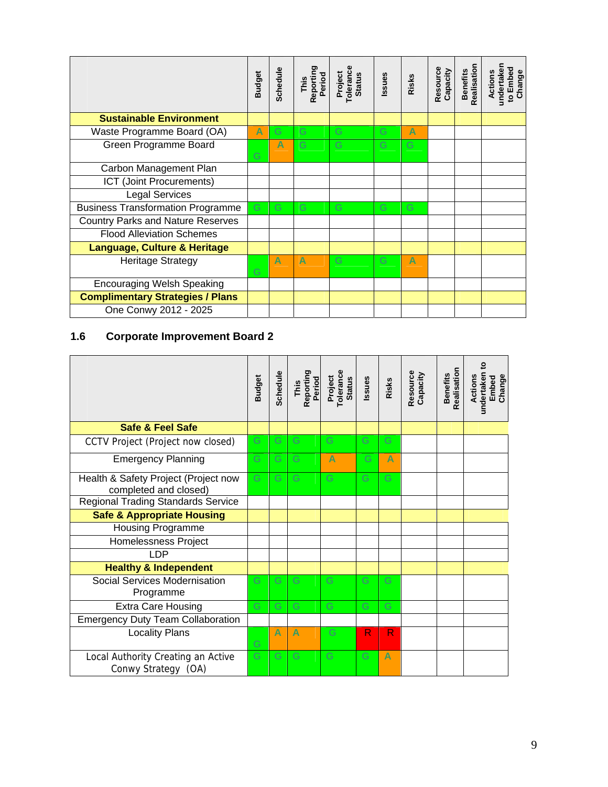|                                          | <b>Budget</b> | Schedule | Reporting<br>Period<br>This | Tolerance<br>Project<br><b>Status</b> | ssues | Risks | Resource<br>Capacity | Realisation<br><b>Benefits</b> | undertaken<br>to Embed<br>Change<br>Actions |
|------------------------------------------|---------------|----------|-----------------------------|---------------------------------------|-------|-------|----------------------|--------------------------------|---------------------------------------------|
| <b>Sustainable Environment</b>           |               |          |                             |                                       |       |       |                      |                                |                                             |
| Waste Programme Board (OA)               | A             | G        | G                           | G                                     | G     | Δ     |                      |                                |                                             |
| Green Programme Board                    | G             | Δ        | G                           | G                                     | G     | G     |                      |                                |                                             |
| Carbon Management Plan                   |               |          |                             |                                       |       |       |                      |                                |                                             |
| ICT (Joint Procurements)                 |               |          |                             |                                       |       |       |                      |                                |                                             |
| <b>Legal Services</b>                    |               |          |                             |                                       |       |       |                      |                                |                                             |
| <b>Business Transformation Programme</b> | G             | G        | G                           | G                                     | G     | G     |                      |                                |                                             |
| <b>Country Parks and Nature Reserves</b> |               |          |                             |                                       |       |       |                      |                                |                                             |
| <b>Flood Alleviation Schemes</b>         |               |          |                             |                                       |       |       |                      |                                |                                             |
| <b>Language, Culture &amp; Heritage</b>  |               |          |                             |                                       |       |       |                      |                                |                                             |
| <b>Heritage Strategy</b>                 | G             | A        | A                           | G                                     | G     | A     |                      |                                |                                             |
| <b>Encouraging Welsh Speaking</b>        |               |          |                             |                                       |       |       |                      |                                |                                             |
| <b>Complimentary Strategies / Plans</b>  |               |          |                             |                                       |       |       |                      |                                |                                             |
| One Conwy 2012 - 2025                    |               |          |                             |                                       |       |       |                      |                                |                                             |

# **1.6 Corporate Improvement Board 2**

|                                                               | <b>Budget</b> | Schedule | Reporting<br>Period<br>This | Project<br>Tolerance<br><b>Status</b> | Issues | Risks       | Resource<br>Capacity | Realisation<br><b>Benefits</b> | undertaken to<br>Actions<br>Change<br>Embed |
|---------------------------------------------------------------|---------------|----------|-----------------------------|---------------------------------------|--------|-------------|----------------------|--------------------------------|---------------------------------------------|
| <b>Safe &amp; Feel Safe</b>                                   |               |          |                             |                                       |        |             |                      |                                |                                             |
| CCTV Project (Project now closed)                             | G             | G        | G                           | G                                     | G      | G           |                      |                                |                                             |
| <b>Emergency Planning</b>                                     | Ġ             | G        | G                           | A                                     | G      | A           |                      |                                |                                             |
| Health & Safety Project (Project now<br>completed and closed) | Ġ             | G        | G                           | G                                     | G      | G           |                      |                                |                                             |
| <b>Regional Trading Standards Service</b>                     |               |          |                             |                                       |        |             |                      |                                |                                             |
| <b>Safe &amp; Appropriate Housing</b>                         |               |          |                             |                                       |        |             |                      |                                |                                             |
| <b>Housing Programme</b>                                      |               |          |                             |                                       |        |             |                      |                                |                                             |
| Homelessness Project                                          |               |          |                             |                                       |        |             |                      |                                |                                             |
| LDP                                                           |               |          |                             |                                       |        |             |                      |                                |                                             |
| <b>Healthy &amp; Independent</b>                              |               |          |                             |                                       |        |             |                      |                                |                                             |
| Social Services Modernisation<br>Programme                    | G             | G        | G                           | G                                     | G      | G           |                      |                                |                                             |
| <b>Extra Care Housing</b>                                     | G             | G        | G                           | G                                     | G      | G           |                      |                                |                                             |
| <b>Emergency Duty Team Collaboration</b>                      |               |          |                             |                                       |        |             |                      |                                |                                             |
| <b>Locality Plans</b>                                         | Ġ             | Δ        | A                           | G                                     | R      | $\mathsf R$ |                      |                                |                                             |
| Local Authority Creating an Active<br>Conwy Strategy (OA)     | G             | G        | G                           | G                                     | G      | A           |                      |                                |                                             |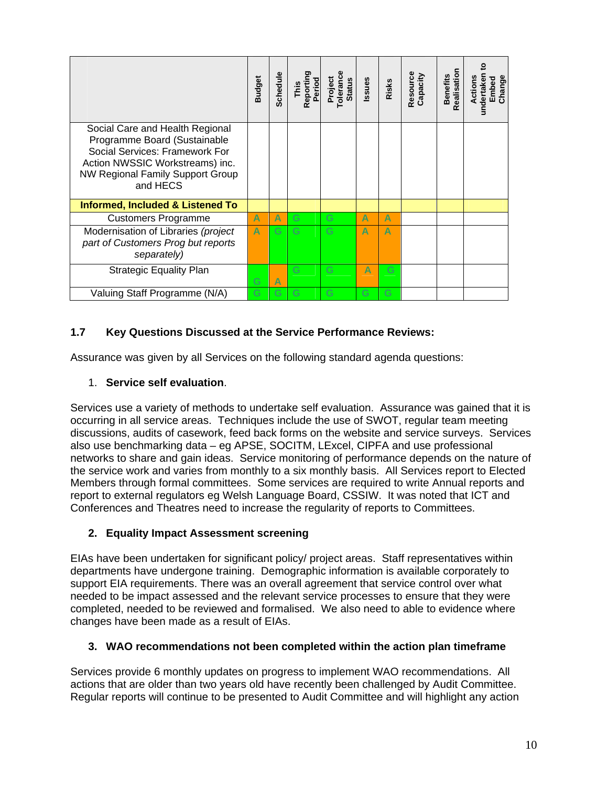|                                                                                                                                                                                             | <b>Budget</b> | Schedule | Reporting<br>Period<br>This | <b>Tolerance</b><br>Project<br><b>Status</b> | Issues | Risks | Resource<br>Capacity | Realisation<br><b>Benefits</b> | ខ្<br>undertaken<br>Actions<br>Change<br>Embed |
|---------------------------------------------------------------------------------------------------------------------------------------------------------------------------------------------|---------------|----------|-----------------------------|----------------------------------------------|--------|-------|----------------------|--------------------------------|------------------------------------------------|
| Social Care and Health Regional<br>Programme Board (Sustainable<br>Social Services: Framework For<br>Action NWSSIC Workstreams) inc.<br><b>NW Regional Family Support Group</b><br>and HECS |               |          |                             |                                              |        |       |                      |                                |                                                |
| <b>Informed, Included &amp; Listened To</b>                                                                                                                                                 |               |          |                             |                                              |        |       |                      |                                |                                                |
| <b>Customers Programme</b>                                                                                                                                                                  | A             | Δ        | G                           | G                                            | Δ      | Δ     |                      |                                |                                                |
| Modernisation of Libraries (project<br>part of Customers Prog but reports<br>separately)                                                                                                    | A             | G        | G                           | G                                            | Δ      | Δ     |                      |                                |                                                |
| <b>Strategic Equality Plan</b>                                                                                                                                                              | G             | Δ        | G                           | G                                            | Δ      | G     |                      |                                |                                                |
| Valuing Staff Programme (N/A)                                                                                                                                                               | G             | G        | G                           | G                                            | Ġ      | G     |                      |                                |                                                |

#### **1.7 Key Questions Discussed at the Service Performance Reviews:**

Assurance was given by all Services on the following standard agenda questions:

#### 1. **Service self evaluation**.

Services use a variety of methods to undertake self evaluation. Assurance was gained that it is occurring in all service areas. Techniques include the use of SWOT, regular team meeting discussions, audits of casework, feed back forms on the website and service surveys. Services also use benchmarking data – eg APSE, SOCITM, LExcel, CIPFA and use professional networks to share and gain ideas. Service monitoring of performance depends on the nature of the service work and varies from monthly to a six monthly basis. All Services report to Elected Members through formal committees. Some services are required to write Annual reports and report to external regulators eg Welsh Language Board, CSSIW. It was noted that ICT and Conferences and Theatres need to increase the regularity of reports to Committees.

#### **2. Equality Impact Assessment screening**

EIAs have been undertaken for significant policy/ project areas. Staff representatives within departments have undergone training. Demographic information is available corporately to support EIA requirements. There was an overall agreement that service control over what needed to be impact assessed and the relevant service processes to ensure that they were completed, needed to be reviewed and formalised. We also need to able to evidence where changes have been made as a result of EIAs.

#### **3. WAO recommendations not been completed within the action plan timeframe**

Services provide 6 monthly updates on progress to implement WAO recommendations. All actions that are older than two years old have recently been challenged by Audit Committee. Regular reports will continue to be presented to Audit Committee and will highlight any action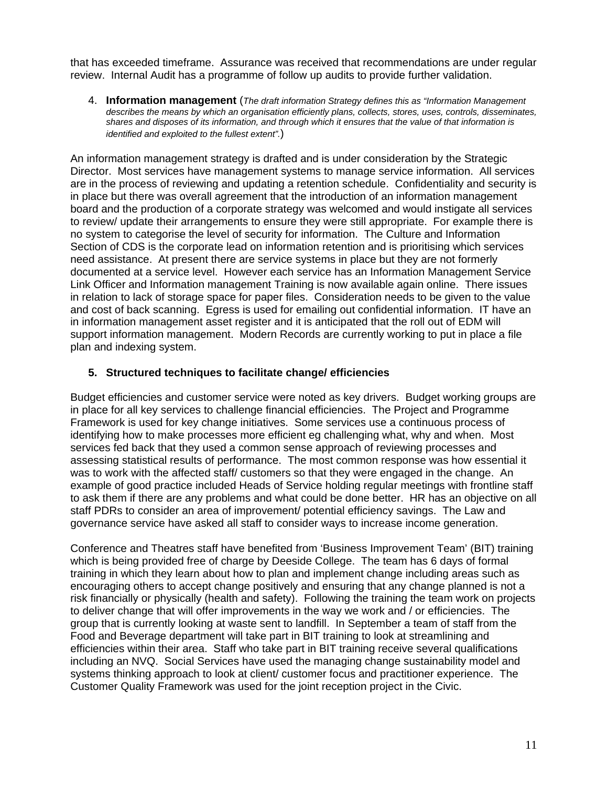that has exceeded timeframe. Assurance was received that recommendations are under regular review. Internal Audit has a programme of follow up audits to provide further validation.

4. **Information management** (*The draft information Strategy defines this as "Information Management describes the means by which an organisation efficiently plans, collects, stores, uses, controls, disseminates, shares and disposes of its information, and through which it ensures that the value of that information is identified and exploited to the fullest extent".*)

An information management strategy is drafted and is under consideration by the Strategic Director. Most services have management systems to manage service information. All services are in the process of reviewing and updating a retention schedule. Confidentiality and security is in place but there was overall agreement that the introduction of an information management board and the production of a corporate strategy was welcomed and would instigate all services to review/ update their arrangements to ensure they were still appropriate. For example there is no system to categorise the level of security for information. The Culture and Information Section of CDS is the corporate lead on information retention and is prioritising which services need assistance. At present there are service systems in place but they are not formerly documented at a service level. However each service has an Information Management Service Link Officer and Information management Training is now available again online. There issues in relation to lack of storage space for paper files. Consideration needs to be given to the value and cost of back scanning. Egress is used for emailing out confidential information. IT have an in information management asset register and it is anticipated that the roll out of EDM will support information management. Modern Records are currently working to put in place a file plan and indexing system.

#### **5. Structured techniques to facilitate change/ efficiencies**

Budget efficiencies and customer service were noted as key drivers. Budget working groups are in place for all key services to challenge financial efficiencies. The Project and Programme Framework is used for key change initiatives. Some services use a continuous process of identifying how to make processes more efficient eg challenging what, why and when. Most services fed back that they used a common sense approach of reviewing processes and assessing statistical results of performance. The most common response was how essential it was to work with the affected staff/ customers so that they were engaged in the change. An example of good practice included Heads of Service holding regular meetings with frontline staff to ask them if there are any problems and what could be done better. HR has an objective on all staff PDRs to consider an area of improvement/ potential efficiency savings. The Law and governance service have asked all staff to consider ways to increase income generation.

Conference and Theatres staff have benefited from 'Business Improvement Team' (BIT) training which is being provided free of charge by Deeside College. The team has 6 days of formal training in which they learn about how to plan and implement change including areas such as encouraging others to accept change positively and ensuring that any change planned is not a risk financially or physically (health and safety). Following the training the team work on projects to deliver change that will offer improvements in the way we work and / or efficiencies. The group that is currently looking at waste sent to landfill. In September a team of staff from the Food and Beverage department will take part in BIT training to look at streamlining and efficiencies within their area. Staff who take part in BIT training receive several qualifications including an NVQ. Social Services have used the managing change sustainability model and systems thinking approach to look at client/ customer focus and practitioner experience. The Customer Quality Framework was used for the joint reception project in the Civic.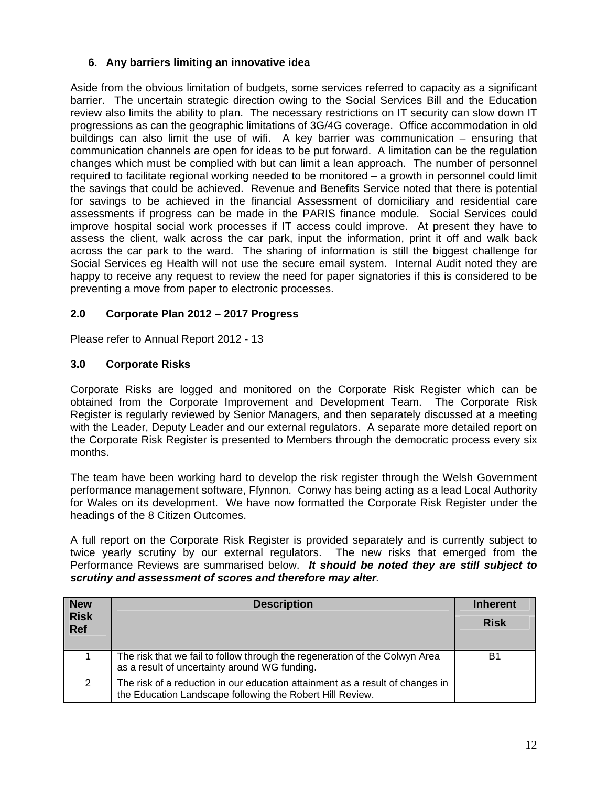#### **6. Any barriers limiting an innovative idea**

Aside from the obvious limitation of budgets, some services referred to capacity as a significant barrier. The uncertain strategic direction owing to the Social Services Bill and the Education review also limits the ability to plan. The necessary restrictions on IT security can slow down IT progressions as can the geographic limitations of 3G/4G coverage. Office accommodation in old buildings can also limit the use of wifi. A key barrier was communication – ensuring that communication channels are open for ideas to be put forward. A limitation can be the regulation changes which must be complied with but can limit a lean approach. The number of personnel required to facilitate regional working needed to be monitored – a growth in personnel could limit the savings that could be achieved. Revenue and Benefits Service noted that there is potential for savings to be achieved in the financial Assessment of domiciliary and residential care assessments if progress can be made in the PARIS finance module. Social Services could improve hospital social work processes if IT access could improve. At present they have to assess the client, walk across the car park, input the information, print it off and walk back across the car park to the ward. The sharing of information is still the biggest challenge for Social Services eg Health will not use the secure email system. Internal Audit noted they are happy to receive any request to review the need for paper signatories if this is considered to be preventing a move from paper to electronic processes.

#### **2.0 Corporate Plan 2012 – 2017 Progress**

Please refer to Annual Report 2012 - 13

#### **3.0 Corporate Risks**

Corporate Risks are logged and monitored on the Corporate Risk Register which can be obtained from the Corporate Improvement and Development Team. The Corporate Risk Register is regularly reviewed by Senior Managers, and then separately discussed at a meeting with the Leader, Deputy Leader and our external regulators. A separate more detailed report on the Corporate Risk Register is presented to Members through the democratic process every six months.

The team have been working hard to develop the risk register through the Welsh Government performance management software, Ffynnon. Conwy has being acting as a lead Local Authority for Wales on its development. We have now formatted the Corporate Risk Register under the headings of the 8 Citizen Outcomes.

A full report on the Corporate Risk Register is provided separately and is currently subject to twice yearly scrutiny by our external regulators. The new risks that emerged from the Performance Reviews are summarised below. *It should be noted they are still subject to scrutiny and assessment of scores and therefore may alter.* 

| <b>New</b>                | <b>Description</b>                                                                                                                         | <b>Inherent</b> |
|---------------------------|--------------------------------------------------------------------------------------------------------------------------------------------|-----------------|
| <b>Risk</b><br><b>Ref</b> |                                                                                                                                            | <b>Risk</b>     |
|                           | The risk that we fail to follow through the regeneration of the Colwyn Area<br>as a result of uncertainty around WG funding.               | B1              |
| 2                         | The risk of a reduction in our education attainment as a result of changes in<br>the Education Landscape following the Robert Hill Review. |                 |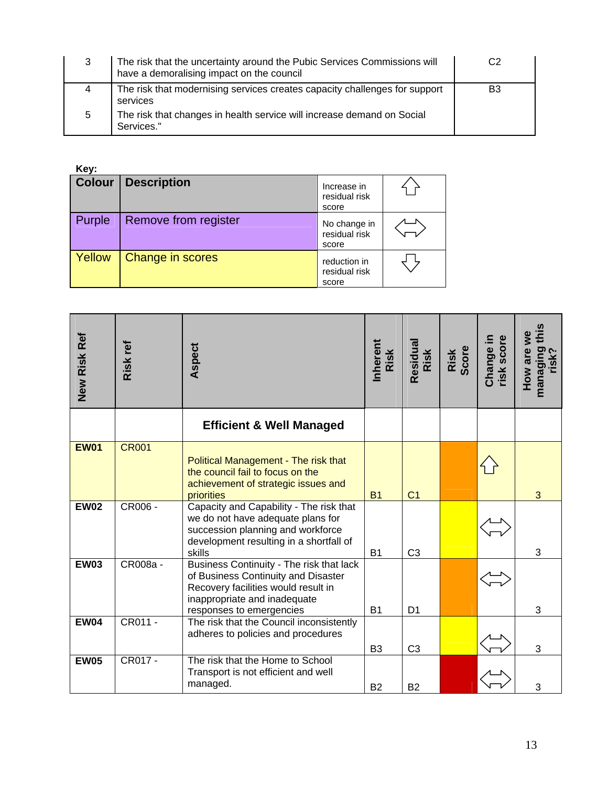| 3 | The risk that the uncertainty around the Pubic Services Commissions will<br>have a demoralising impact on the council | C2             |
|---|-----------------------------------------------------------------------------------------------------------------------|----------------|
|   | The risk that modernising services creates capacity challenges for support<br>services                                | B <sub>3</sub> |
| 5 | The risk that changes in health service will increase demand on Social<br>Services."                                  |                |

**Key:** 

| <b>Colour</b> | <b>Description</b>   | Increase in<br>residual risk<br>score  |  |
|---------------|----------------------|----------------------------------------|--|
| Purple        | Remove from register | No change in<br>residual risk<br>score |  |
| Yellow        | Change in scores     | reduction in<br>residual risk<br>score |  |

| New Risk Ref | Risk ref     | Aspect                                                                                                                                                                             | Inherent<br>Risk | Residual<br>Risk | Risk<br>Score | Change in<br>risk score | managing this<br>risk?<br>How are we |
|--------------|--------------|------------------------------------------------------------------------------------------------------------------------------------------------------------------------------------|------------------|------------------|---------------|-------------------------|--------------------------------------|
|              |              | <b>Efficient &amp; Well Managed</b>                                                                                                                                                |                  |                  |               |                         |                                      |
| <b>EW01</b>  | <b>CR001</b> | Political Management - The risk that<br>the council fail to focus on the<br>achievement of strategic issues and<br>priorities                                                      | <b>B1</b>        | C <sub>1</sub>   |               |                         | 3                                    |
| <b>EW02</b>  | CR006 -      | Capacity and Capability - The risk that<br>we do not have adequate plans for<br>succession planning and workforce<br>development resulting in a shortfall of<br>skills             | <b>B1</b>        | C <sub>3</sub>   |               |                         | 3                                    |
| <b>EW03</b>  | CR008a -     | Business Continuity - The risk that lack<br>of Business Continuity and Disaster<br>Recovery facilities would result in<br>inappropriate and inadequate<br>responses to emergencies | <b>B1</b>        | D <sub>1</sub>   |               |                         | 3                                    |
| <b>EW04</b>  | CR011 -      | The risk that the Council inconsistently<br>adheres to policies and procedures                                                                                                     | B <sub>3</sub>   | C <sub>3</sub>   |               |                         | 3                                    |
| <b>EW05</b>  | CR017 -      | The risk that the Home to School<br>Transport is not efficient and well<br>managed.                                                                                                | <b>B2</b>        | <b>B2</b>        |               |                         | 3                                    |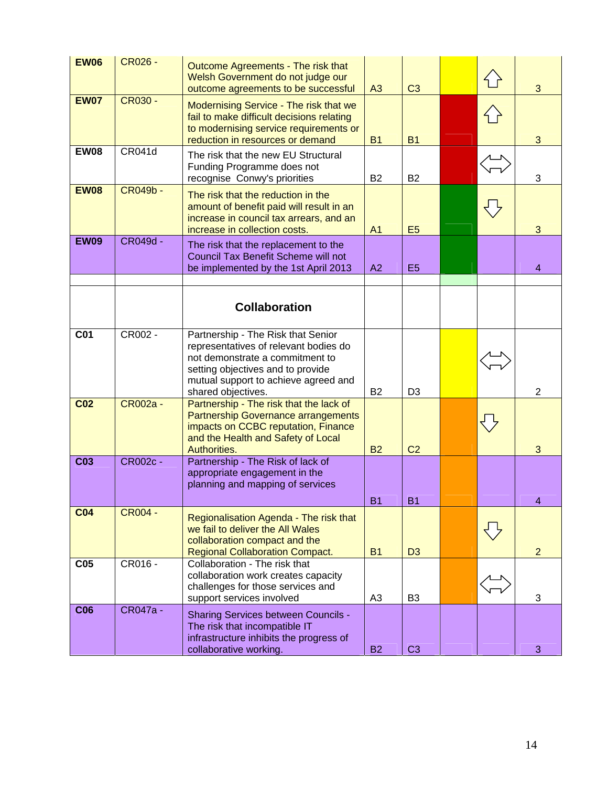| <b>EW06</b>     | <b>CR026 -</b>  | Outcome Agreements - The risk that<br>Welsh Government do not judge our<br>outcome agreements to be successful                                                                                                    | A3             | C <sub>3</sub> |    | 3              |
|-----------------|-----------------|-------------------------------------------------------------------------------------------------------------------------------------------------------------------------------------------------------------------|----------------|----------------|----|----------------|
| <b>EW07</b>     | <b>CR030 -</b>  | Modernising Service - The risk that we<br>fail to make difficult decisions relating<br>to modernising service requirements or<br>reduction in resources or demand                                                 | <b>B1</b>      | <b>B1</b>      |    | 3              |
| <b>EW08</b>     | <b>CR041d</b>   | The risk that the new EU Structural<br>Funding Programme does not<br>recognise Conwy's priorities                                                                                                                 | <b>B2</b>      | <b>B2</b>      |    | 3              |
| <b>EW08</b>     | <b>CR049b -</b> | The risk that the reduction in the<br>amount of benefit paid will result in an<br>increase in council tax arrears, and an<br>increase in collection costs.                                                        | A <sub>1</sub> | E <sub>5</sub> | くと | 3              |
| <b>EW09</b>     | CR049d -        | The risk that the replacement to the<br>Council Tax Benefit Scheme will not<br>be implemented by the 1st April 2013                                                                                               | A2             | E <sub>5</sub> |    | $\overline{4}$ |
|                 |                 | <b>Collaboration</b>                                                                                                                                                                                              |                |                |    |                |
| <b>C01</b>      | CR002 -         | Partnership - The Risk that Senior<br>representatives of relevant bodies do<br>not demonstrate a commitment to<br>setting objectives and to provide<br>mutual support to achieve agreed and<br>shared objectives. | <b>B2</b>      | D <sub>3</sub> |    | $\overline{2}$ |
| C <sub>02</sub> | CR002a -        | Partnership - The risk that the lack of<br><b>Partnership Governance arrangements</b><br>impacts on CCBC reputation, Finance<br>and the Health and Safety of Local<br>Authorities.                                | <b>B2</b>      | C <sub>2</sub> |    | 3              |
| C <sub>03</sub> | CR002c -        | Partnership - The Risk of lack of<br>appropriate engagement in the<br>planning and mapping of services                                                                                                            | <u>в</u> 1     | В1             |    | 4              |
| C <sub>04</sub> | <b>CR004 -</b>  | Regionalisation Agenda - The risk that<br>we fail to deliver the All Wales<br>collaboration compact and the<br><b>Regional Collaboration Compact.</b>                                                             | <b>B1</b>      | D <sub>3</sub> |    | $\overline{2}$ |
| C <sub>05</sub> | CR016 -         | Collaboration - The risk that<br>collaboration work creates capacity<br>challenges for those services and<br>support services involved                                                                            | A <sub>3</sub> | B <sub>3</sub> |    | 3              |
| C <sub>06</sub> | CR047a -        | <b>Sharing Services between Councils -</b><br>The risk that incompatible IT<br>infrastructure inhibits the progress of<br>collaborative working.                                                                  | <b>B2</b>      | C <sub>3</sub> |    | 3              |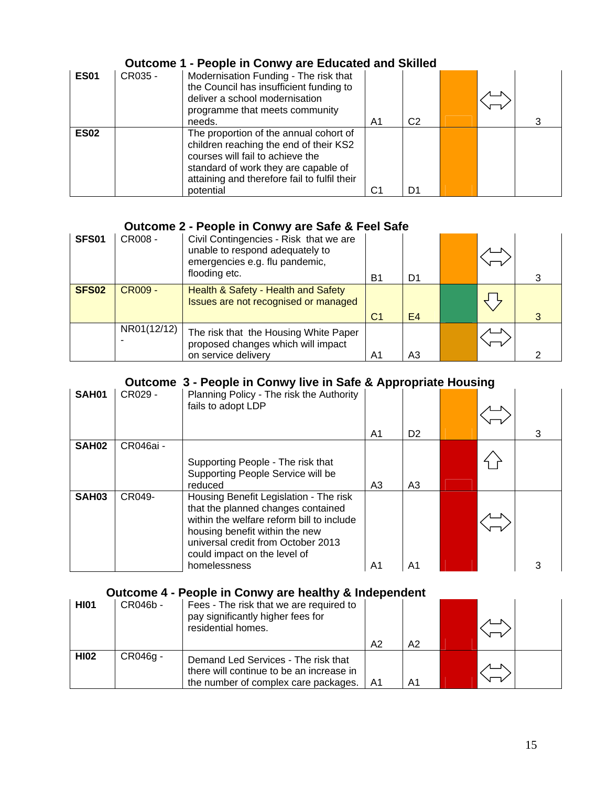#### **Outcome 1 - People in Conwy are Educated and Skilled**

| <b>ES01</b> | CR035 - | Modernisation Funding - The risk that<br>the Council has insufficient funding to<br>deliver a school modernisation<br>programme that meets community<br>needs.                                                            | A1 | C <sub>2</sub> |  |  |
|-------------|---------|---------------------------------------------------------------------------------------------------------------------------------------------------------------------------------------------------------------------------|----|----------------|--|--|
| <b>ES02</b> |         | The proportion of the annual cohort of<br>children reaching the end of their KS2<br>courses will fail to achieve the<br>standard of work they are capable of<br>attaining and therefore fail to fulfil their<br>potential | C1 | D1             |  |  |

#### **Outcome 2 - People in Conwy are Safe & Feel Safe**

| <b>SFS01</b>      | CR008 -        | Civil Contingencies - Risk that we are<br>unable to respond adequately to<br>emergencies e.g. flu pandemic,<br>flooding etc. | Β1             | D1             |  |  |
|-------------------|----------------|------------------------------------------------------------------------------------------------------------------------------|----------------|----------------|--|--|
| SFS <sub>02</sub> | <b>CR009 -</b> | Health & Safety - Health and Safety<br>Issues are not recognised or managed                                                  | C <sub>1</sub> | E4             |  |  |
|                   | NR01(12/12)    | The risk that the Housing White Paper<br>proposed changes which will impact<br>on service delivery                           | A1             | A <sub>3</sub> |  |  |

## **Outcome 3 - People in Conwy live in Safe & Appropriate Housing**

| SAH01             | CR029 -   | Planning Policy - The risk the Authority<br>fails to adopt LDP                                                                                                                                                                                    | -1-1-<br>A1 | D <sub>2</sub> |  |  |
|-------------------|-----------|---------------------------------------------------------------------------------------------------------------------------------------------------------------------------------------------------------------------------------------------------|-------------|----------------|--|--|
| SAH <sub>02</sub> | CR046ai - | Supporting People - The risk that<br>Supporting People Service will be<br>reduced                                                                                                                                                                 | A3          | A3             |  |  |
| <b>SAH03</b>      | CR049-    | Housing Benefit Legislation - The risk<br>that the planned changes contained<br>within the welfare reform bill to include<br>housing benefit within the new<br>universal credit from October 2013<br>could impact on the level of<br>homelessness | A1          | A1             |  |  |

#### **Outcome 4 - People in Conwy are healthy & Independent**

| <b>HI01</b> | CR046b - | Fees - The risk that we are required to<br>pay significantly higher fees for<br>residential homes.                      | A <sub>2</sub> | A2 |  |  |
|-------------|----------|-------------------------------------------------------------------------------------------------------------------------|----------------|----|--|--|
| <b>HI02</b> | CR046g - | Demand Led Services - The risk that<br>there will continue to be an increase in<br>the number of complex care packages. | A1             | A1 |  |  |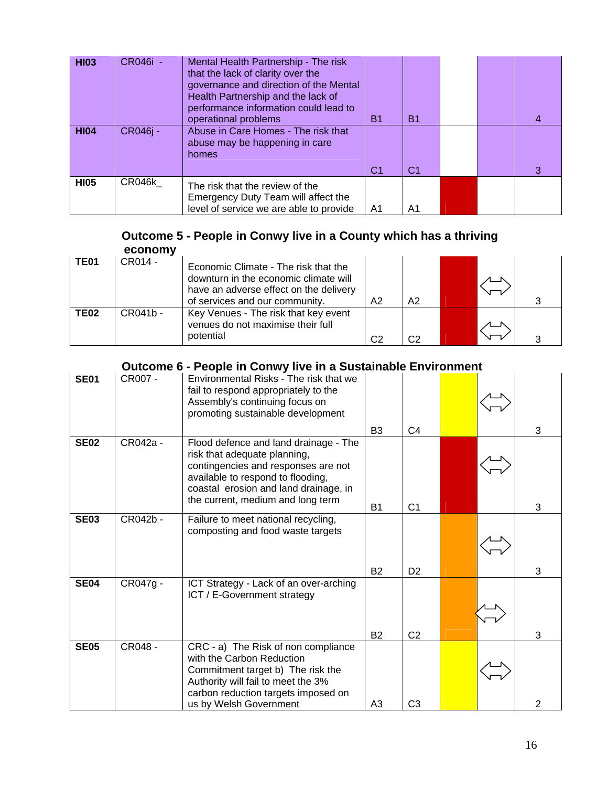| <b>HI03</b> | CR046i - | Mental Health Partnership - The risk<br>that the lack of clarity over the<br>governance and direction of the Mental<br>Health Partnership and the lack of<br>performance information could lead to<br>operational problems | Β1             | <b>B1</b>      |  |   |
|-------------|----------|----------------------------------------------------------------------------------------------------------------------------------------------------------------------------------------------------------------------------|----------------|----------------|--|---|
| <b>HI04</b> | CR046j - | Abuse in Care Homes - The risk that<br>abuse may be happening in care<br>homes                                                                                                                                             | C <sub>1</sub> | C <sub>1</sub> |  | З |
| <b>HI05</b> | CR046k   | The risk that the review of the<br>Emergency Duty Team will affect the<br>level of service we are able to provide                                                                                                          | A <sub>1</sub> | A1             |  |   |

#### **Outcome 5 - People in Conwy live in a County which has a thriving economy**

| <b>TE01</b> | CR014 -  | Economic Climate - The risk that the<br>downturn in the economic climate will<br>have an adverse effect on the delivery<br>of services and our community. | A2             | A <sub>2</sub> |  |  |
|-------------|----------|-----------------------------------------------------------------------------------------------------------------------------------------------------------|----------------|----------------|--|--|
| <b>TE02</b> | CR041b - | Key Venues - The risk that key event<br>venues do not maximise their full<br>potential                                                                    | C <sub>2</sub> | C <sub>2</sub> |  |  |

# **Outcome 6 - People in Conwy live in a Sustainable Environment**

| <b>SE01</b> | CR007 -  | Environmental Risks - The risk that we<br>fail to respond appropriately to the<br>Assembly's continuing focus on<br>promoting sustainable development                                                                           |                             |                                  |  |        |
|-------------|----------|---------------------------------------------------------------------------------------------------------------------------------------------------------------------------------------------------------------------------------|-----------------------------|----------------------------------|--|--------|
|             |          |                                                                                                                                                                                                                                 | B <sub>3</sub>              | C <sub>4</sub>                   |  | 3      |
| <b>SE02</b> | CR042a - | Flood defence and land drainage - The<br>risk that adequate planning,<br>contingencies and responses are not<br>available to respond to flooding,<br>coastal erosion and land drainage, in<br>the current, medium and long term | <b>B1</b>                   | C <sub>1</sub>                   |  | 3      |
| <b>SE03</b> | CR042b - | Failure to meet national recycling,<br>composting and food waste targets                                                                                                                                                        |                             |                                  |  |        |
| <b>SE04</b> | CR047g - | ICT Strategy - Lack of an over-arching<br>ICT / E-Government strategy                                                                                                                                                           | <b>B2</b>                   | D <sub>2</sub>                   |  | 3      |
| <b>SE05</b> | CR048 -  | CRC - a) The Risk of non compliance<br>with the Carbon Reduction<br>Commitment target b) The risk the<br>Authority will fail to meet the 3%<br>carbon reduction targets imposed on<br>us by Welsh Government                    | <b>B2</b><br>A <sub>3</sub> | C <sub>2</sub><br>C <sub>3</sub> |  | 3<br>2 |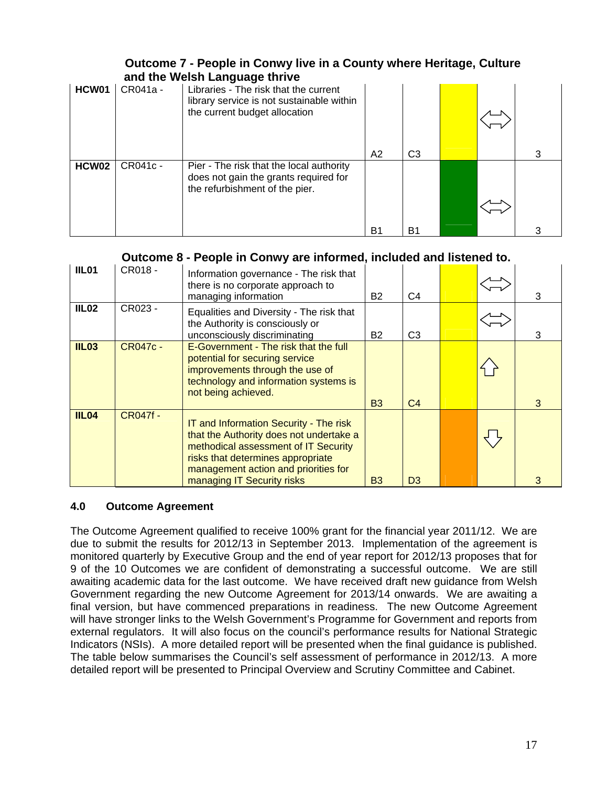#### **Outcome 7 - People in Conwy live in a County where Heritage, Culture and the Welsh Language thrive**

|       |          | and the weish Language through                                                                                      |                |    |  |  |
|-------|----------|---------------------------------------------------------------------------------------------------------------------|----------------|----|--|--|
| HCW01 | CR041a - | Libraries - The risk that the current<br>library service is not sustainable within<br>the current budget allocation |                |    |  |  |
|       |          |                                                                                                                     | A <sub>2</sub> | C3 |  |  |
| HCW02 | CR041c - | Pier - The risk that the local authority<br>does not gain the grants required for<br>the refurbishment of the pier. |                |    |  |  |
|       |          |                                                                                                                     | B1             | B1 |  |  |

#### **Outcome 8 - People in Conwy are informed, included and listened to.**

| IIL01        | CR018 -         | Information governance - The risk that<br>there is no corporate approach to<br>managing information                                                                                                                                  |                | 3              |  |   |
|--------------|-----------------|--------------------------------------------------------------------------------------------------------------------------------------------------------------------------------------------------------------------------------------|----------------|----------------|--|---|
| <b>IIL02</b> | CR023 -         | Equalities and Diversity - The risk that<br>the Authority is consciously or<br>unconsciously discriminating                                                                                                                          | B2             | C <sub>3</sub> |  | з |
| <b>IIL03</b> | <b>CR047c -</b> | E-Government - The risk that the full<br>potential for securing service<br>improvements through the use of<br>technology and information systems is<br>not being achieved.                                                           | <b>B3</b>      | C <sub>4</sub> |  | 3 |
| <b>IIL04</b> | <b>CR047f -</b> | IT and Information Security - The risk<br>that the Authority does not undertake a<br>methodical assessment of IT Security<br>risks that determines appropriate<br>management action and priorities for<br>managing IT Security risks | B <sub>3</sub> | D <sub>3</sub> |  |   |

#### **4.0 Outcome Agreement**

The Outcome Agreement qualified to receive 100% grant for the financial year 2011/12. We are due to submit the results for 2012/13 in September 2013. Implementation of the agreement is monitored quarterly by Executive Group and the end of year report for 2012/13 proposes that for 9 of the 10 Outcomes we are confident of demonstrating a successful outcome. We are still awaiting academic data for the last outcome. We have received draft new guidance from Welsh Government regarding the new Outcome Agreement for 2013/14 onwards. We are awaiting a final version, but have commenced preparations in readiness. The new Outcome Agreement will have stronger links to the Welsh Government's Programme for Government and reports from external regulators. It will also focus on the council's performance results for National Strategic Indicators (NSIs). A more detailed report will be presented when the final guidance is published. The table below summarises the Council's self assessment of performance in 2012/13. A more detailed report will be presented to Principal Overview and Scrutiny Committee and Cabinet.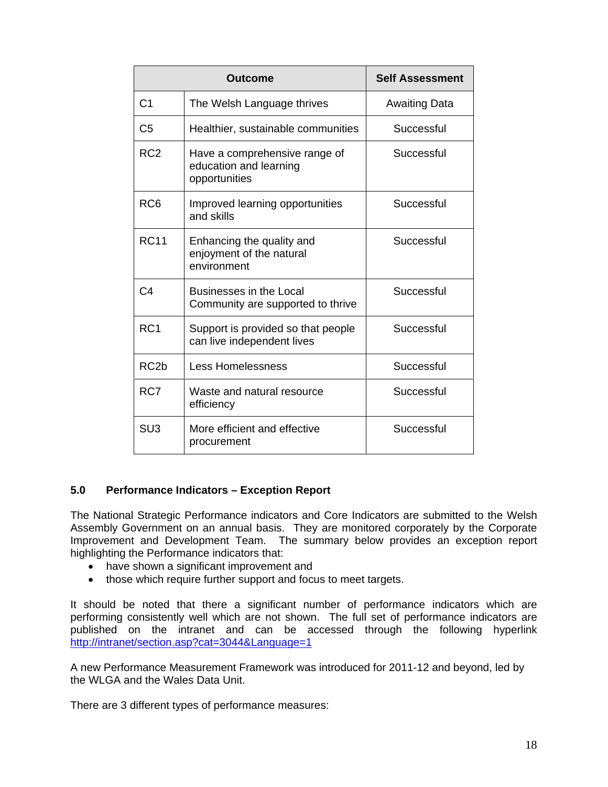|                   | <b>Outcome</b>                                                           | <b>Self Assessment</b> |
|-------------------|--------------------------------------------------------------------------|------------------------|
| C <sub>1</sub>    | The Welsh Language thrives                                               | <b>Awaiting Data</b>   |
| C <sub>5</sub>    | Healthier, sustainable communities                                       | Successful             |
| RC <sub>2</sub>   | Have a comprehensive range of<br>education and learning<br>opportunities | Successful             |
| RC <sub>6</sub>   | Improved learning opportunities<br>and skills                            | Successful             |
| <b>RC11</b>       | Enhancing the quality and<br>enjoyment of the natural<br>environment     | Successful             |
| C4                | Businesses in the Local<br>Community are supported to thrive             | Successful             |
| RC <sub>1</sub>   | Support is provided so that people<br>can live independent lives         | Successful             |
| RC <sub>2</sub> b | <b>Less Homelessness</b>                                                 | Successful             |
| RC7               | Waste and natural resource<br>efficiency                                 | Successful             |
| SU <sub>3</sub>   | More efficient and effective<br>procurement                              | Successful             |

#### **5.0 Performance Indicators – Exception Report**

The National Strategic Performance indicators and Core Indicators are submitted to the Welsh Assembly Government on an annual basis. They are monitored corporately by the Corporate Improvement and Development Team. The summary below provides an exception report highlighting the Performance indicators that:

- have shown a significant improvement and
- those which require further support and focus to meet targets.

It should be noted that there a significant number of performance indicators which are performing consistently well which are not shown. The full set of performance indicators are published on the intranet and can be accessed through the following hyperlink <http://intranet/section.asp?cat=3044&Language=1>

A new Performance Measurement Framework was introduced for 2011-12 and beyond, led by the WLGA and the Wales Data Unit.

There are 3 different types of performance measures: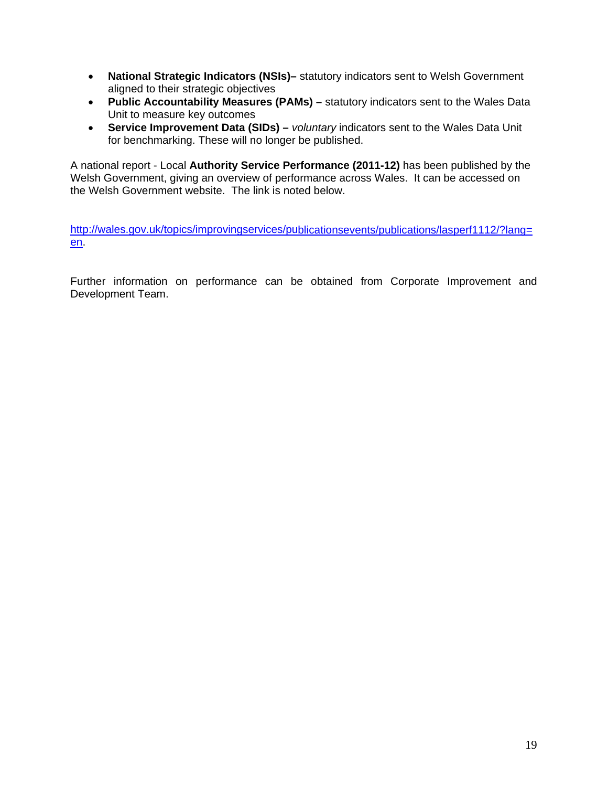- **National Strategic Indicators (NSIs)–** statutory indicators sent to Welsh Government aligned to their strategic objectives
- **Public Accountability Measures (PAMs) –** statutory indicators sent to the Wales Data Unit to measure key outcomes
- **Service Improvement Data (SIDs) –** *voluntary* indicators sent to the Wales Data Unit for benchmarking. These will no longer be published.

A national report - Local **Authority Service Performance (2011-12)** has been published by the Welsh Government, giving an overview of performance across Wales. It can be accessed on the Welsh Government website. The link is noted below.

[http://wales.gov.uk/topics/improvingservices/publicationsevents/publications/lasperf1112/?lang=](http://wales.gov.uk/topics/improvingservices/publicationsevents/publications/lasperf1112/?lang=en) [en](http://wales.gov.uk/topics/improvingservices/publicationsevents/publications/lasperf1112/?lang=en).

Further information on performance can be obtained from Corporate Improvement and Development Team.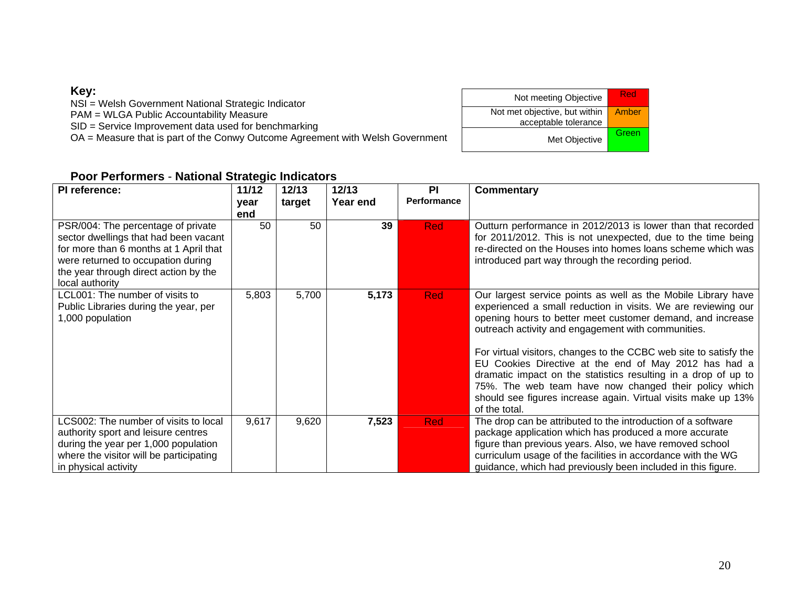#### **Key:**

NSI = Welsh Government National Strategic Indicator

PAM = WLGA Public Accountability Measure

SID = Service Improvement data used for benchmarking

OA = Measure that is part of the Conwy Outcome Agreement with Welsh Government

| Not meeting Objective                                 | Red   |
|-------------------------------------------------------|-------|
| Not met objective, but within<br>acceptable tolerance | Amber |
| Met Objective                                         | Green |

#### **Poor Performers** - **National Strategic Indicators**

| PI reference:                                                                                                                                                                                                           | 11/12 | 12/13  | 12/13    | <b>PI</b>          | <b>Commentary</b>                                                                                                                                                                                                                                                                                                                                                                                                                                                                                                                                                                             |
|-------------------------------------------------------------------------------------------------------------------------------------------------------------------------------------------------------------------------|-------|--------|----------|--------------------|-----------------------------------------------------------------------------------------------------------------------------------------------------------------------------------------------------------------------------------------------------------------------------------------------------------------------------------------------------------------------------------------------------------------------------------------------------------------------------------------------------------------------------------------------------------------------------------------------|
|                                                                                                                                                                                                                         | year  | target | Year end | <b>Performance</b> |                                                                                                                                                                                                                                                                                                                                                                                                                                                                                                                                                                                               |
|                                                                                                                                                                                                                         | end   |        |          |                    |                                                                                                                                                                                                                                                                                                                                                                                                                                                                                                                                                                                               |
| PSR/004: The percentage of private<br>sector dwellings that had been vacant<br>for more than 6 months at 1 April that<br>were returned to occupation during<br>the year through direct action by the<br>local authority | 50    | 50     | 39       | <b>Red</b>         | Outturn performance in 2012/2013 is lower than that recorded<br>for 2011/2012. This is not unexpected, due to the time being<br>re-directed on the Houses into homes loans scheme which was<br>introduced part way through the recording period.                                                                                                                                                                                                                                                                                                                                              |
| LCL001: The number of visits to<br>Public Libraries during the year, per<br>1,000 population                                                                                                                            | 5,803 | 5,700  | 5,173    | <b>Red</b>         | Our largest service points as well as the Mobile Library have<br>experienced a small reduction in visits. We are reviewing our<br>opening hours to better meet customer demand, and increase<br>outreach activity and engagement with communities.<br>For virtual visitors, changes to the CCBC web site to satisfy the<br>EU Cookies Directive at the end of May 2012 has had a<br>dramatic impact on the statistics resulting in a drop of up to<br>75%. The web team have now changed their policy which<br>should see figures increase again. Virtual visits make up 13%<br>of the total. |
| LCS002: The number of visits to local<br>authority sport and leisure centres<br>during the year per 1,000 population<br>where the visitor will be participating<br>in physical activity                                 | 9,617 | 9,620  | 7,523    | <b>Red</b>         | The drop can be attributed to the introduction of a software<br>package application which has produced a more accurate<br>figure than previous years. Also, we have removed school<br>curriculum usage of the facilities in accordance with the WG<br>guidance, which had previously been included in this figure.                                                                                                                                                                                                                                                                            |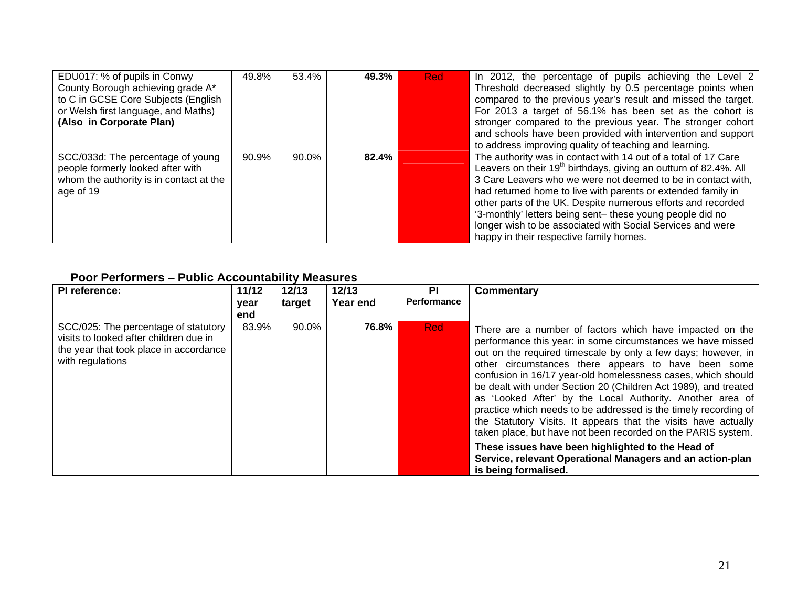| EDU017: % of pupils in Conwy<br>County Borough achieving grade A*<br>to C in GCSE Core Subjects (English<br>or Welsh first language, and Maths)<br>(Also in Corporate Plan) | 49.8% | 53.4% | 49.3% | <b>Red</b> | In 2012, the percentage of pupils achieving the Level 2<br>Threshold decreased slightly by 0.5 percentage points when<br>compared to the previous year's result and missed the target.<br>For 2013 a target of 56.1% has been set as the cohort is<br>stronger compared to the previous year. The stronger cohort<br>and schools have been provided with intervention and support<br>to address improving quality of teaching and learning.                                                                          |
|-----------------------------------------------------------------------------------------------------------------------------------------------------------------------------|-------|-------|-------|------------|----------------------------------------------------------------------------------------------------------------------------------------------------------------------------------------------------------------------------------------------------------------------------------------------------------------------------------------------------------------------------------------------------------------------------------------------------------------------------------------------------------------------|
| SCC/033d: The percentage of young<br>people formerly looked after with<br>whom the authority is in contact at the<br>age of 19                                              | 90.9% | 90.0% | 82.4% |            | The authority was in contact with 14 out of a total of 17 Care<br>Leavers on their 19 <sup>th</sup> birthdays, giving an outturn of 82.4%. All<br>3 Care Leavers who we were not deemed to be in contact with,<br>had returned home to live with parents or extended family in<br>other parts of the UK. Despite numerous efforts and recorded<br>'3-monthly' letters being sent- these young people did no<br>longer wish to be associated with Social Services and were<br>happy in their respective family homes. |

#### **Poor Performers** – **Public Accountability Measures**

| PI reference:                                                                                                                                | 11/12<br>year<br>end | 12/13<br>target | 12/13<br>Year end | ΡI<br><b>Performance</b> | Commentary                                                                                                                                                                                                                                                                                                                                                                                                                                                                                                                                                                                                                                                                                                                                                                                     |
|----------------------------------------------------------------------------------------------------------------------------------------------|----------------------|-----------------|-------------------|--------------------------|------------------------------------------------------------------------------------------------------------------------------------------------------------------------------------------------------------------------------------------------------------------------------------------------------------------------------------------------------------------------------------------------------------------------------------------------------------------------------------------------------------------------------------------------------------------------------------------------------------------------------------------------------------------------------------------------------------------------------------------------------------------------------------------------|
| SCC/025: The percentage of statutory<br>visits to looked after children due in<br>the year that took place in accordance<br>with regulations | 83.9%                | 90.0%           | 76.8%             | <b>Red</b>               | There are a number of factors which have impacted on the<br>performance this year: in some circumstances we have missed<br>out on the required timescale by only a few days; however, in<br>other circumstances there appears to have been some<br>confusion in 16/17 year-old homelessness cases, which should<br>be dealt with under Section 20 (Children Act 1989), and treated<br>as 'Looked After' by the Local Authority. Another area of<br>practice which needs to be addressed is the timely recording of<br>the Statutory Visits. It appears that the visits have actually<br>taken place, but have not been recorded on the PARIS system.<br>These issues have been highlighted to the Head of<br>Service, relevant Operational Managers and an action-plan<br>is being formalised. |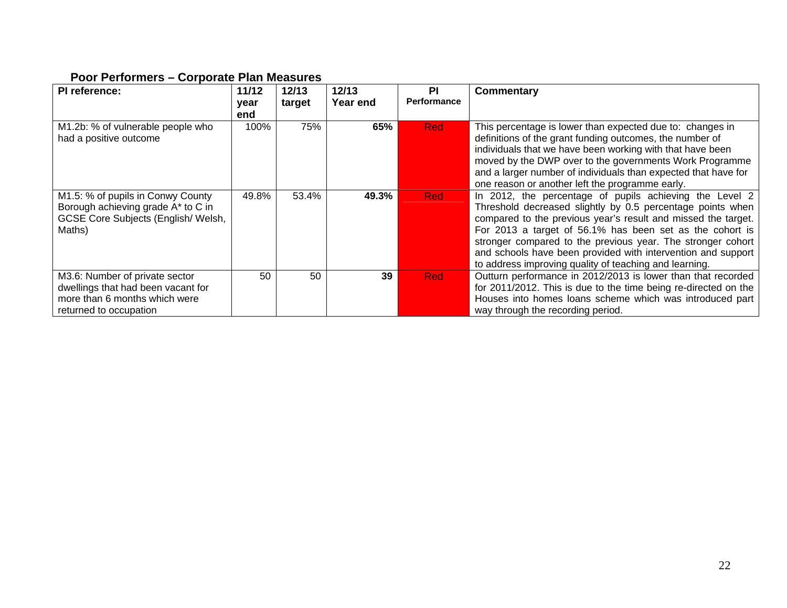#### **Poor Performers – Corporate Plan Measures**

| PI reference:                                                                                                                   | 11/12       | 12/13  | 12/13    | <b>PI</b><br>Performance | <b>Commentary</b>                                                                                                                                                                                                                                                                                                                                                                                                                           |
|---------------------------------------------------------------------------------------------------------------------------------|-------------|--------|----------|--------------------------|---------------------------------------------------------------------------------------------------------------------------------------------------------------------------------------------------------------------------------------------------------------------------------------------------------------------------------------------------------------------------------------------------------------------------------------------|
|                                                                                                                                 | year<br>end | target | Year end |                          |                                                                                                                                                                                                                                                                                                                                                                                                                                             |
| M1.2b: % of vulnerable people who<br>had a positive outcome                                                                     | 100%        | 75%    | 65%      | <b>Red</b>               | This percentage is lower than expected due to: changes in<br>definitions of the grant funding outcomes, the number of<br>individuals that we have been working with that have been<br>moved by the DWP over to the governments Work Programme<br>and a larger number of individuals than expected that have for<br>one reason or another left the programme early.                                                                          |
| M1.5: % of pupils in Conwy County<br>Borough achieving grade A* to C in<br>GCSE Core Subjects (English/Welsh,<br>Maths)         | 49.8%       | 53.4%  | 49.3%    | <b>Red</b>               | In 2012, the percentage of pupils achieving the Level 2<br>Threshold decreased slightly by 0.5 percentage points when<br>compared to the previous year's result and missed the target.<br>For 2013 a target of 56.1% has been set as the cohort is<br>stronger compared to the previous year. The stronger cohort<br>and schools have been provided with intervention and support<br>to address improving quality of teaching and learning. |
| M3.6: Number of private sector<br>dwellings that had been vacant for<br>more than 6 months which were<br>returned to occupation | 50          | 50     | 39       | <b>Red</b>               | Outturn performance in 2012/2013 is lower than that recorded<br>for 2011/2012. This is due to the time being re-directed on the<br>Houses into homes loans scheme which was introduced part<br>way through the recording period.                                                                                                                                                                                                            |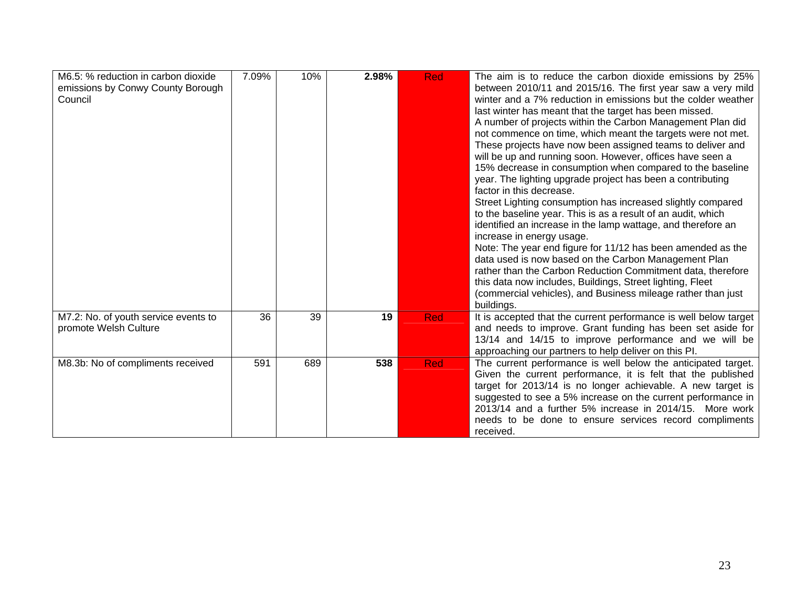| M6.5: % reduction in carbon dioxide<br>emissions by Conwy County Borough<br>Council | 7.09% | 10% | 2.98% | <b>Red</b> | The aim is to reduce the carbon dioxide emissions by 25%<br>between 2010/11 and 2015/16. The first year saw a very mild<br>winter and a 7% reduction in emissions but the colder weather<br>last winter has meant that the target has been missed.<br>A number of projects within the Carbon Management Plan did<br>not commence on time, which meant the targets were not met.<br>These projects have now been assigned teams to deliver and<br>will be up and running soon. However, offices have seen a<br>15% decrease in consumption when compared to the baseline<br>year. The lighting upgrade project has been a contributing<br>factor in this decrease.<br>Street Lighting consumption has increased slightly compared<br>to the baseline year. This is as a result of an audit, which<br>identified an increase in the lamp wattage, and therefore an<br>increase in energy usage.<br>Note: The year end figure for 11/12 has been amended as the<br>data used is now based on the Carbon Management Plan<br>rather than the Carbon Reduction Commitment data, therefore<br>this data now includes, Buildings, Street lighting, Fleet<br>(commercial vehicles), and Business mileage rather than just<br>buildings. |
|-------------------------------------------------------------------------------------|-------|-----|-------|------------|--------------------------------------------------------------------------------------------------------------------------------------------------------------------------------------------------------------------------------------------------------------------------------------------------------------------------------------------------------------------------------------------------------------------------------------------------------------------------------------------------------------------------------------------------------------------------------------------------------------------------------------------------------------------------------------------------------------------------------------------------------------------------------------------------------------------------------------------------------------------------------------------------------------------------------------------------------------------------------------------------------------------------------------------------------------------------------------------------------------------------------------------------------------------------------------------------------------------------------|
| M7.2: No. of youth service events to<br>promote Welsh Culture                       | 36    | 39  | 19    | <b>Red</b> | It is accepted that the current performance is well below target<br>and needs to improve. Grant funding has been set aside for<br>13/14 and 14/15 to improve performance and we will be<br>approaching our partners to help deliver on this PI.                                                                                                                                                                                                                                                                                                                                                                                                                                                                                                                                                                                                                                                                                                                                                                                                                                                                                                                                                                                |
| M8.3b: No of compliments received                                                   | 591   | 689 | 538   | <b>Red</b> | The current performance is well below the anticipated target.<br>Given the current performance, it is felt that the published<br>target for 2013/14 is no longer achievable. A new target is<br>suggested to see a 5% increase on the current performance in<br>2013/14 and a further 5% increase in 2014/15. More work<br>needs to be done to ensure services record compliments<br>received.                                                                                                                                                                                                                                                                                                                                                                                                                                                                                                                                                                                                                                                                                                                                                                                                                                 |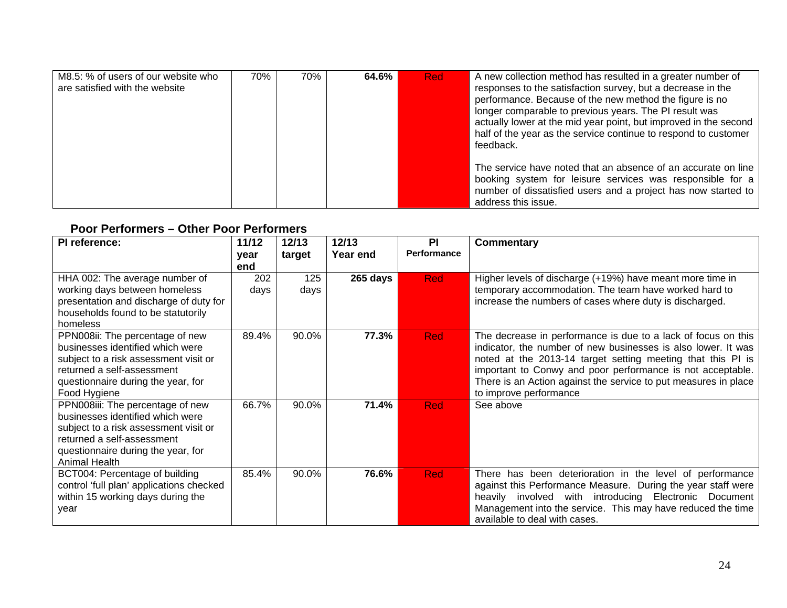| M8.5: % of users of our website who<br>are satisfied with the website | 70% | 70% | 64.6% | <b>Red</b> | A new collection method has resulted in a greater number of<br>responses to the satisfaction survey, but a decrease in the<br>performance. Because of the new method the figure is no<br>longer comparable to previous years. The PI result was<br>actually lower at the mid year point, but improved in the second<br>half of the year as the service continue to respond to customer<br>feedback. |
|-----------------------------------------------------------------------|-----|-----|-------|------------|-----------------------------------------------------------------------------------------------------------------------------------------------------------------------------------------------------------------------------------------------------------------------------------------------------------------------------------------------------------------------------------------------------|
|                                                                       |     |     |       |            | The service have noted that an absence of an accurate on line<br>booking system for leisure services was responsible for a<br>number of dissatisfied users and a project has now started to<br>address this issue.                                                                                                                                                                                  |

#### **Poor Performers – Other Poor Performers**

| PI reference:                                                                                                                                                                                      | 11/12       | 12/13       | 12/13    | <b>PI</b>   | <b>Commentary</b>                                                                                                                                                                                                                                                                                                                                        |
|----------------------------------------------------------------------------------------------------------------------------------------------------------------------------------------------------|-------------|-------------|----------|-------------|----------------------------------------------------------------------------------------------------------------------------------------------------------------------------------------------------------------------------------------------------------------------------------------------------------------------------------------------------------|
|                                                                                                                                                                                                    | year<br>end | target      | Year end | Performance |                                                                                                                                                                                                                                                                                                                                                          |
| HHA 002: The average number of<br>working days between homeless<br>presentation and discharge of duty for<br>households found to be statutorily<br>homeless                                        | 202<br>days | 125<br>days | 265 days | <b>Red</b>  | Higher levels of discharge (+19%) have meant more time in<br>temporary accommodation. The team have worked hard to<br>increase the numbers of cases where duty is discharged.                                                                                                                                                                            |
| PPN008ii: The percentage of new<br>businesses identified which were<br>subject to a risk assessment visit or<br>returned a self-assessment<br>questionnaire during the year, for<br>Food Hygiene   | 89.4%       | 90.0%       | 77.3%    | <b>Red</b>  | The decrease in performance is due to a lack of focus on this<br>indicator, the number of new businesses is also lower. It was<br>noted at the 2013-14 target setting meeting that this PI is<br>important to Conwy and poor performance is not acceptable.<br>There is an Action against the service to put measures in place<br>to improve performance |
| PPN008iii: The percentage of new<br>businesses identified which were<br>subject to a risk assessment visit or<br>returned a self-assessment<br>questionnaire during the year, for<br>Animal Health | 66.7%       | 90.0%       | 71.4%    | <b>Red</b>  | See above                                                                                                                                                                                                                                                                                                                                                |
| BCT004: Percentage of building<br>control 'full plan' applications checked<br>within 15 working days during the<br>year                                                                            | 85.4%       | 90.0%       | 76.6%    | <b>Red</b>  | There has been deterioration in the level of performance<br>against this Performance Measure. During the year staff were<br>involved with introducing Electronic Document<br>heavily<br>Management into the service. This may have reduced the time<br>available to deal with cases.                                                                     |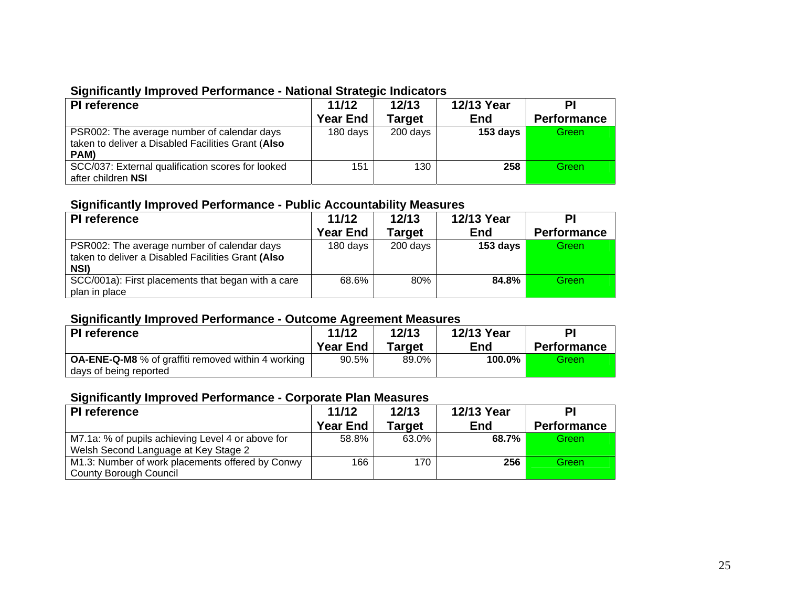## **Significantly Improved Performance - National Strategic Indicators**

| PI reference                                                                                              | 11/12<br><b>Year End</b> | 12/13<br><b>Target</b> | 12/13 Year<br><b>End</b> | PI<br><b>Performance</b> |
|-----------------------------------------------------------------------------------------------------------|--------------------------|------------------------|--------------------------|--------------------------|
| PSR002: The average number of calendar days<br>taken to deliver a Disabled Facilities Grant (Also<br>PAM) | 180 days                 | 200 days               | 153 days                 | Green                    |
| SCC/037: External qualification scores for looked<br>after children NSI                                   | 151                      | 130                    | 258                      | Green                    |

#### **Significantly Improved Performance - Public Accountability Measures**

| PI reference                                                                                              | 11/12<br><b>Year End</b> | 12/13<br><b>Target</b> | 12/13 Year<br>End | PI<br><b>Performance</b> |
|-----------------------------------------------------------------------------------------------------------|--------------------------|------------------------|-------------------|--------------------------|
| PSR002: The average number of calendar days<br>taken to deliver a Disabled Facilities Grant (Also<br>NSI) | 180 days                 | 200 days               | 153 days          | <b>Green</b>             |
| SCC/001a): First placements that began with a care<br>plan in place                                       | 68.6%                    | 80%                    | 84.8%             | Green                    |

#### **Significantly Improved Performance - Outcome Agreement Measures**

| PI reference                                                                        | 11/12           | 12/13  | 12/13 Year | РI                 |
|-------------------------------------------------------------------------------------|-----------------|--------|------------|--------------------|
|                                                                                     | <b>Year End</b> | Target | <b>End</b> | <b>Performance</b> |
| <b>OA-ENE-Q-M8</b> % of graffiti removed within 4 working<br>days of being reported | 90.5%           | 89.0%  | 100.0%     | Greenl             |

#### **Significantly Improved Performance - Corporate Plan Measures**

| <b>PI</b> reference                                                                       | 11/12           | 12/13         | 12/13 Year |                    |
|-------------------------------------------------------------------------------------------|-----------------|---------------|------------|--------------------|
|                                                                                           | <b>Year End</b> | <b>Target</b> | <b>End</b> | <b>Performance</b> |
| M7.1a: % of pupils achieving Level 4 or above for<br>Welsh Second Language at Key Stage 2 | 58.8%           | 63.0%         | 68.7%      | <b>Green</b>       |
| M1.3: Number of work placements offered by Conwy<br><b>County Borough Council</b>         | 166             | 170           | 256        | <b>Green</b>       |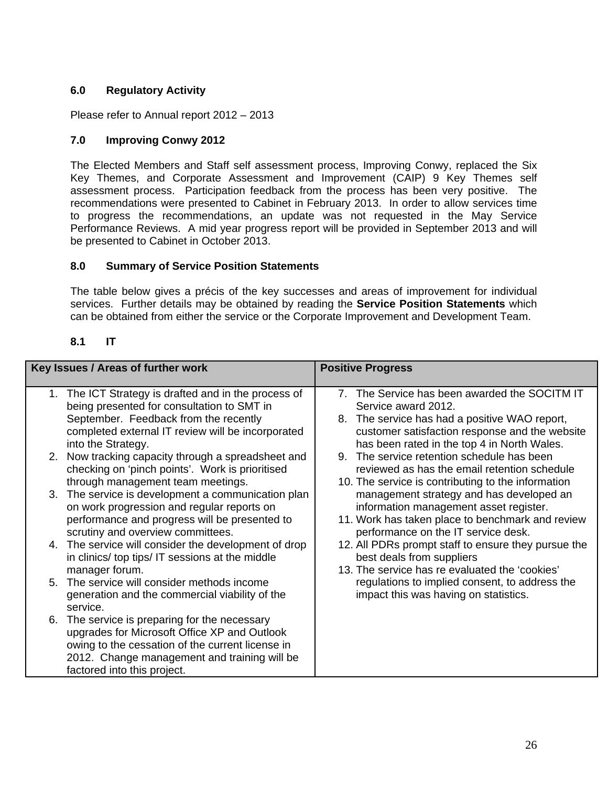#### **6.0 Regulatory Activity**

Please refer to Annual report 2012 – 2013

#### **7.0 Improving Conwy 2012**

The Elected Members and Staff self assessment process, Improving Conwy, replaced the Six Key Themes, and Corporate Assessment and Improvement (CAIP) 9 Key Themes self assessment process. Participation feedback from the process has been very positive. The recommendations were presented to Cabinet in February 2013. In order to allow services time to progress the recommendations, an update was not requested in the May Service Performance Reviews. A mid year progress report will be provided in September 2013 and will be presented to Cabinet in October 2013.

#### **8.0 Summary of Service Position Statements**

The table below gives a précis of the key successes and areas of improvement for individual services. Further details may be obtained by reading the **Service Position Statements** which can be obtained from either the service or the Corporate Improvement and Development Team.

#### **8.1 IT**

| Key Issues / Areas of further work                                                                      | <b>Positive Progress</b>                                                         |
|---------------------------------------------------------------------------------------------------------|----------------------------------------------------------------------------------|
| 1. The ICT Strategy is drafted and in the process of                                                    | 7. The Service has been awarded the SOCITM IT                                    |
| being presented for consultation to SMT in                                                              | Service award 2012.                                                              |
| September. Feedback from the recently                                                                   | 8. The service has had a positive WAO report,                                    |
| completed external IT review will be incorporated                                                       | customer satisfaction response and the website                                   |
| into the Strategy.                                                                                      | has been rated in the top 4 in North Wales.                                      |
| 2. Now tracking capacity through a spreadsheet and                                                      | 9. The service retention schedule has been                                       |
| checking on 'pinch points'. Work is prioritised                                                         | reviewed as has the email retention schedule                                     |
| through management team meetings.                                                                       | 10. The service is contributing to the information                               |
| 3. The service is development a communication plan                                                      | management strategy and has developed an                                         |
| on work progression and regular reports on                                                              | information management asset register.                                           |
| performance and progress will be presented to                                                           | 11. Work has taken place to benchmark and review                                 |
| scrutiny and overview committees.                                                                       | performance on the IT service desk.                                              |
| 4. The service will consider the development of drop<br>in clinics/ top tips/ IT sessions at the middle | 12. All PDRs prompt staff to ensure they pursue the<br>best deals from suppliers |
| manager forum.                                                                                          | 13. The service has re evaluated the 'cookies'                                   |
| 5. The service will consider methods income                                                             | regulations to implied consent, to address the                                   |
| generation and the commercial viability of the                                                          | impact this was having on statistics.                                            |
| service.                                                                                                |                                                                                  |
| 6. The service is preparing for the necessary                                                           |                                                                                  |
| upgrades for Microsoft Office XP and Outlook                                                            |                                                                                  |
| owing to the cessation of the current license in                                                        |                                                                                  |
| 2012. Change management and training will be                                                            |                                                                                  |
| factored into this project.                                                                             |                                                                                  |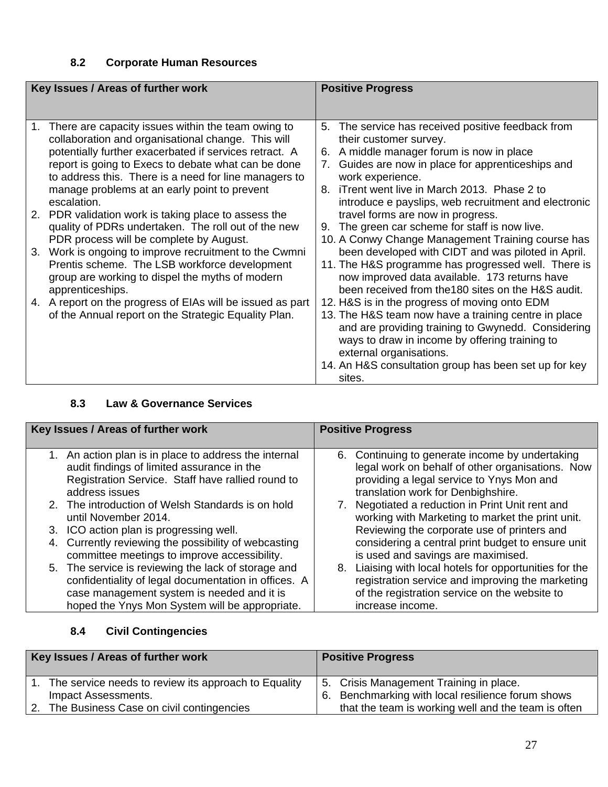# **8.2 Corporate Human Resources**

| Key Issues / Areas of further work                                                                                                                                                                                                                                                                                                                      |    | <b>Positive Progress</b>                                                                                                                                                                                                                                                                                    |
|---------------------------------------------------------------------------------------------------------------------------------------------------------------------------------------------------------------------------------------------------------------------------------------------------------------------------------------------------------|----|-------------------------------------------------------------------------------------------------------------------------------------------------------------------------------------------------------------------------------------------------------------------------------------------------------------|
|                                                                                                                                                                                                                                                                                                                                                         |    |                                                                                                                                                                                                                                                                                                             |
| There are capacity issues within the team owing to<br>1.<br>collaboration and organisational change. This will<br>potentially further exacerbated if services retract. A<br>report is going to Execs to debate what can be done<br>to address this. There is a need for line managers to<br>manage problems at an early point to prevent<br>escalation. | 8. | 5. The service has received positive feedback from<br>their customer survey.<br>6. A middle manager forum is now in place<br>Guides are now in place for apprenticeships and<br>work experience.<br>iTrent went live in March 2013. Phase 2 to<br>introduce e payslips, web recruitment and electronic      |
| 2. PDR validation work is taking place to assess the<br>quality of PDRs undertaken. The roll out of the new<br>PDR process will be complete by August.                                                                                                                                                                                                  |    | travel forms are now in progress.<br>9. The green car scheme for staff is now live.<br>10. A Conwy Change Management Training course has                                                                                                                                                                    |
| 3. Work is ongoing to improve recruitment to the Cwmni<br>Prentis scheme. The LSB workforce development<br>group are working to dispel the myths of modern<br>apprenticeships.                                                                                                                                                                          |    | been developed with CIDT and was piloted in April.<br>11. The H&S programme has progressed well. There is<br>now improved data available. 173 returns have<br>been received from the 180 sites on the H&S audit.                                                                                            |
| 4. A report on the progress of EIAs will be issued as part<br>of the Annual report on the Strategic Equality Plan.                                                                                                                                                                                                                                      |    | 12. H&S is in the progress of moving onto EDM<br>13. The H&S team now have a training centre in place<br>and are providing training to Gwynedd. Considering<br>ways to draw in income by offering training to<br>external organisations.<br>14. An H&S consultation group has been set up for key<br>sites. |

#### **8.3 Law & Governance Services**

| Key Issues / Areas of further work                                                                                                                                                                          | <b>Positive Progress</b>                                                                                                                                                                  |
|-------------------------------------------------------------------------------------------------------------------------------------------------------------------------------------------------------------|-------------------------------------------------------------------------------------------------------------------------------------------------------------------------------------------|
| 1. An action plan is in place to address the internal<br>audit findings of limited assurance in the<br>Registration Service. Staff have rallied round to<br>address issues                                  | Continuing to generate income by undertaking<br>6.<br>legal work on behalf of other organisations. Now<br>providing a legal service to Ynys Mon and<br>translation work for Denbighshire. |
| 2. The introduction of Welsh Standards is on hold<br>until November 2014.                                                                                                                                   | Negotiated a reduction in Print Unit rent and<br>working with Marketing to market the print unit.                                                                                         |
| 3. ICO action plan is progressing well.                                                                                                                                                                     | Reviewing the corporate use of printers and                                                                                                                                               |
| 4. Currently reviewing the possibility of webcasting<br>committee meetings to improve accessibility.                                                                                                        | considering a central print budget to ensure unit<br>is used and savings are maximised.                                                                                                   |
| 5. The service is reviewing the lack of storage and<br>confidentiality of legal documentation in offices. A<br>case management system is needed and it is<br>hoped the Ynys Mon System will be appropriate. | Liaising with local hotels for opportunities for the<br>8.<br>registration service and improving the marketing<br>of the registration service on the website to<br>increase income.       |

# **8.4 Civil Contingencies**

| Key Issues / Areas of further work |                                                      | <b>Positive Progress</b> |                                                     |  |  |
|------------------------------------|------------------------------------------------------|--------------------------|-----------------------------------------------------|--|--|
|                                    | The service needs to review its approach to Equality |                          | 5. Crisis Management Training in place.             |  |  |
|                                    | Impact Assessments.                                  | 6.                       | Benchmarking with local resilience forum shows      |  |  |
|                                    | The Business Case on civil contingencies             |                          | that the team is working well and the team is often |  |  |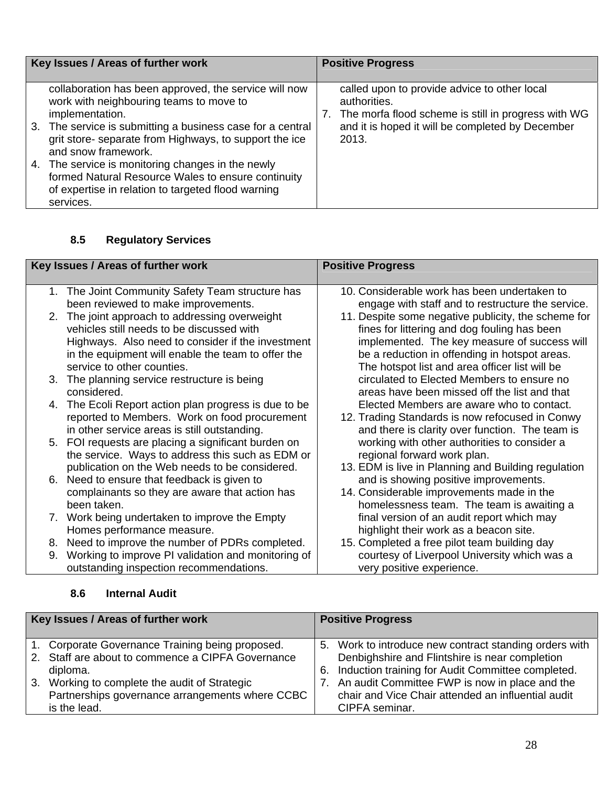| Key Issues / Areas of further work                                                                                                                                                                                                                                                                                                                                                                                                               | <b>Positive Progress</b>                                                                                                                                                                            |
|--------------------------------------------------------------------------------------------------------------------------------------------------------------------------------------------------------------------------------------------------------------------------------------------------------------------------------------------------------------------------------------------------------------------------------------------------|-----------------------------------------------------------------------------------------------------------------------------------------------------------------------------------------------------|
| collaboration has been approved, the service will now<br>work with neighbouring teams to move to<br>implementation.<br>3. The service is submitting a business case for a central<br>grit store- separate from Highways, to support the ice<br>and snow framework.<br>4. The service is monitoring changes in the newly<br>formed Natural Resource Wales to ensure continuity<br>of expertise in relation to targeted flood warning<br>services. | called upon to provide advice to other local<br>authorities.<br>The morfa flood scheme is still in progress with WG<br>$\mathcal{L}$ .<br>and it is hoped it will be completed by December<br>2013. |

# **8.5 Regulatory Services**

|    | Key Issues / Areas of further work                  | <b>Positive Progress</b>                            |
|----|-----------------------------------------------------|-----------------------------------------------------|
|    | 1. The Joint Community Safety Team structure has    | 10. Considerable work has been undertaken to        |
|    | been reviewed to make improvements.                 | engage with staff and to restructure the service.   |
|    |                                                     |                                                     |
|    | 2. The joint approach to addressing overweight      | 11. Despite some negative publicity, the scheme for |
|    | vehicles still needs to be discussed with           | fines for littering and dog fouling has been        |
|    | Highways. Also need to consider if the investment   | implemented. The key measure of success will        |
|    | in the equipment will enable the team to offer the  | be a reduction in offending in hotspot areas.       |
|    | service to other counties.                          | The hotspot list and area officer list will be      |
|    | 3. The planning service restructure is being        | circulated to Elected Members to ensure no          |
|    | considered.                                         | areas have been missed off the list and that        |
| 4. | The Ecoli Report action plan progress is due to be  | Elected Members are aware who to contact.           |
|    | reported to Members. Work on food procurement       | 12. Trading Standards is now refocused in Conwy     |
|    | in other service areas is still outstanding.        | and there is clarity over function. The team is     |
|    | 5. FOI requests are placing a significant burden on | working with other authorities to consider a        |
|    | the service. Ways to address this such as EDM or    | regional forward work plan.                         |
|    | publication on the Web needs to be considered.      | 13. EDM is live in Planning and Building regulation |
|    | 6. Need to ensure that feedback is given to         | and is showing positive improvements.               |
|    |                                                     |                                                     |
|    | complainants so they are aware that action has      | 14. Considerable improvements made in the           |
|    | been taken.                                         | homelessness team. The team is awaiting a           |
|    | 7. Work being undertaken to improve the Empty       | final version of an audit report which may          |
|    | Homes performance measure.                          | highlight their work as a beacon site.              |
|    | 8. Need to improve the number of PDRs completed.    | 15. Completed a free pilot team building day        |
| 9. | Working to improve PI validation and monitoring of  | courtesy of Liverpool University which was a        |
|    | outstanding inspection recommendations.             | very positive experience.                           |

| Key Issues / Areas of further work                |    | <b>Positive Progress</b>                               |
|---------------------------------------------------|----|--------------------------------------------------------|
| 1. Corporate Governance Training being proposed.  |    | 5. Work to introduce new contract standing orders with |
| 2. Staff are about to commence a CIPFA Governance |    | Denbighshire and Flintshire is near completion         |
| diploma.                                          | 6. | Induction training for Audit Committee completed.      |
| 3. Working to complete the audit of Strategic     | 7. | An audit Committee FWP is now in place and the         |
| Partnerships governance arrangements where CCBC   |    | chair and Vice Chair attended an influential audit     |
| is the lead.                                      |    | CIPFA seminar.                                         |

# **8.6 Internal Audit**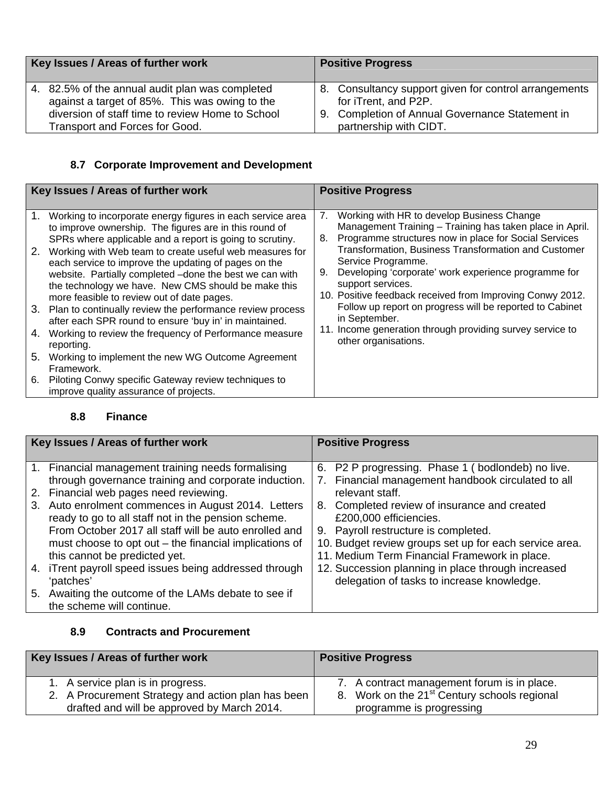| Key Issues / Areas of further work               | <b>Positive Progress</b>                              |
|--------------------------------------------------|-------------------------------------------------------|
| 4. 82.5% of the annual audit plan was completed  | 8. Consultancy support given for control arrangements |
| against a target of 85%. This was owing to the   | for iTrent, and P2P.                                  |
| diversion of staff time to review Home to School | 9. Completion of Annual Governance Statement in       |
| <b>Transport and Forces for Good.</b>            | partnership with CIDT.                                |

#### **8.7 Corporate Improvement and Development**

|          | Key Issues / Areas of further work                                                                                                                                                                                                                                                                                                                                                                                    | <b>Positive Progress</b>                                                                                                                                                                                                                                                                                                                     |  |
|----------|-----------------------------------------------------------------------------------------------------------------------------------------------------------------------------------------------------------------------------------------------------------------------------------------------------------------------------------------------------------------------------------------------------------------------|----------------------------------------------------------------------------------------------------------------------------------------------------------------------------------------------------------------------------------------------------------------------------------------------------------------------------------------------|--|
|          |                                                                                                                                                                                                                                                                                                                                                                                                                       |                                                                                                                                                                                                                                                                                                                                              |  |
| 1.<br>2. | Working to incorporate energy figures in each service area<br>to improve ownership. The figures are in this round of<br>SPRs where applicable and a report is going to scrutiny.<br>Working with Web team to create useful web measures for<br>each service to improve the updating of pages on the<br>website. Partially completed -done the best we can with<br>the technology we have. New CMS should be make this | Working with HR to develop Business Change<br>7.<br>Management Training - Training has taken place in April.<br>Programme structures now in place for Social Services<br>8.<br>Transformation, Business Transformation and Customer<br>Service Programme.<br>Developing 'corporate' work experience programme for<br>9.<br>support services. |  |
|          | more feasible to review out of date pages.<br>3. Plan to continually review the performance review process<br>after each SPR round to ensure 'buy in' in maintained.                                                                                                                                                                                                                                                  | 10. Positive feedback received from Improving Conwy 2012.<br>Follow up report on progress will be reported to Cabinet<br>in September.                                                                                                                                                                                                       |  |
| 4.       | Working to review the frequency of Performance measure<br>reporting.                                                                                                                                                                                                                                                                                                                                                  | 11. Income generation through providing survey service to<br>other organisations.                                                                                                                                                                                                                                                            |  |
| 5.       | Working to implement the new WG Outcome Agreement<br>Framework.                                                                                                                                                                                                                                                                                                                                                       |                                                                                                                                                                                                                                                                                                                                              |  |
| 6.       | Piloting Conwy specific Gateway review techniques to<br>improve quality assurance of projects.                                                                                                                                                                                                                                                                                                                        |                                                                                                                                                                                                                                                                                                                                              |  |

#### **8.8 Finance**

| Key Issues / Areas of further work |                                                                                                                                                                                                                                                              | <b>Positive Progress</b>                                                                                                                                                                                |
|------------------------------------|--------------------------------------------------------------------------------------------------------------------------------------------------------------------------------------------------------------------------------------------------------------|---------------------------------------------------------------------------------------------------------------------------------------------------------------------------------------------------------|
| 2.<br>3.                           | 1. Financial management training needs formalising<br>through governance training and corporate induction.<br>Financial web pages need reviewing.<br>Auto enrolment commences in August 2014. Letters<br>ready to go to all staff not in the pension scheme. | 6. P2 P progressing. Phase 1 (bodlondeb) no live.<br>Financial management handbook circulated to all<br>7.<br>relevant staff.<br>8. Completed review of insurance and created<br>£200,000 efficiencies. |
|                                    | From October 2017 all staff will be auto enrolled and<br>must choose to opt out – the financial implications of<br>this cannot be predicted yet.<br>4. iTrent payroll speed issues being addressed through                                                   | 9. Payroll restructure is completed.<br>10. Budget review groups set up for each service area.<br>11. Medium Term Financial Framework in place.                                                         |
|                                    | 'patches'                                                                                                                                                                                                                                                    | 12. Succession planning in place through increased<br>delegation of tasks to increase knowledge.                                                                                                        |
|                                    | 5. Awaiting the outcome of the LAMs debate to see if<br>the scheme will continue.                                                                                                                                                                            |                                                                                                                                                                                                         |

#### **8.9 Contracts and Procurement**

| Key Issues / Areas of further work                 | <b>Positive Progress</b>                                 |
|----------------------------------------------------|----------------------------------------------------------|
| 1. A service plan is in progress.                  | 7. A contract management forum is in place.              |
| 2. A Procurement Strategy and action plan has been | 8. Work on the 21 <sup>st</sup> Century schools regional |
| drafted and will be approved by March 2014.        | programme is progressing                                 |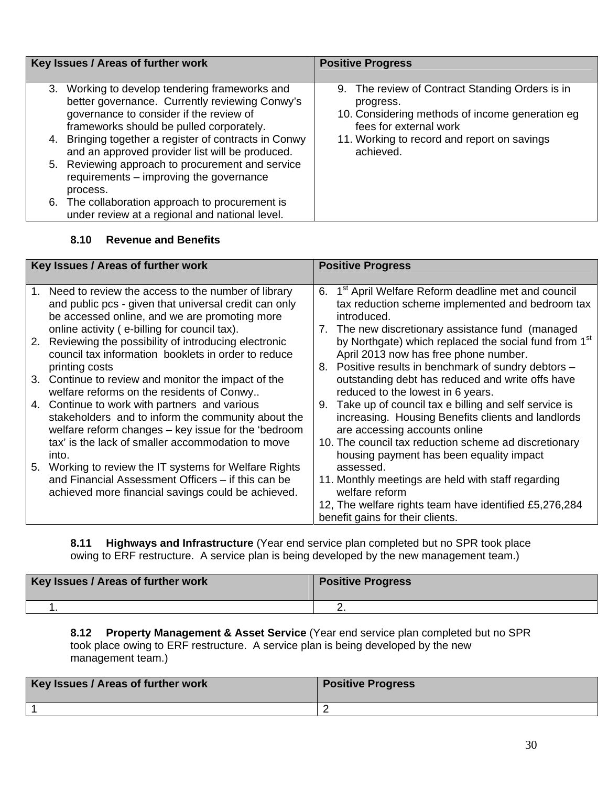| Key Issues / Areas of further work |                                                                                                                                                                                                                                                                                                                                                                                                                                                                                                         | <b>Positive Progress</b>                                                                                                                                                                              |
|------------------------------------|---------------------------------------------------------------------------------------------------------------------------------------------------------------------------------------------------------------------------------------------------------------------------------------------------------------------------------------------------------------------------------------------------------------------------------------------------------------------------------------------------------|-------------------------------------------------------------------------------------------------------------------------------------------------------------------------------------------------------|
| process.                           | 3. Working to develop tendering frameworks and<br>better governance. Currently reviewing Conwy's<br>governance to consider if the review of<br>frameworks should be pulled corporately.<br>4. Bringing together a register of contracts in Conwy<br>and an approved provider list will be produced.<br>5. Reviewing approach to procurement and service<br>requirements - improving the governance<br>6. The collaboration approach to procurement is<br>under review at a regional and national level. | 9. The review of Contract Standing Orders is in<br>progress.<br>10. Considering methods of income generation eg<br>fees for external work<br>11. Working to record and report on savings<br>achieved. |

#### **8.10 Revenue and Benefits**

|    | Key Issues / Areas of further work                                                                                                                                                                              | <b>Positive Progress</b>                                                                                                                                                                    |
|----|-----------------------------------------------------------------------------------------------------------------------------------------------------------------------------------------------------------------|---------------------------------------------------------------------------------------------------------------------------------------------------------------------------------------------|
|    | 1. Need to review the access to the number of library<br>and public pcs - given that universal credit can only<br>be accessed online, and we are promoting more<br>online activity (e-billing for council tax). | 1 <sup>st</sup> April Welfare Reform deadline met and council<br>6.<br>tax reduction scheme implemented and bedroom tax<br>introduced.<br>7. The new discretionary assistance fund (managed |
|    | 2. Reviewing the possibility of introducing electronic<br>council tax information booklets in order to reduce<br>printing costs                                                                                 | by Northgate) which replaced the social fund from 1 <sup>st</sup><br>April 2013 now has free phone number.<br>8. Positive results in benchmark of sundry debtors -                          |
|    | 3. Continue to review and monitor the impact of the<br>welfare reforms on the residents of Conwy                                                                                                                | outstanding debt has reduced and write offs have<br>reduced to the lowest in 6 years.                                                                                                       |
| 4. | Continue to work with partners and various<br>stakeholders and to inform the community about the<br>welfare reform changes - key issue for the 'bedroom                                                         | 9. Take up of council tax e billing and self service is<br>increasing. Housing Benefits clients and landlords<br>are accessing accounts online                                              |
| 5. | tax' is the lack of smaller accommodation to move<br>into.<br>Working to review the IT systems for Welfare Rights                                                                                               | 10. The council tax reduction scheme ad discretionary<br>housing payment has been equality impact<br>assessed.                                                                              |
|    | and Financial Assessment Officers - if this can be<br>achieved more financial savings could be achieved.                                                                                                        | 11. Monthly meetings are held with staff regarding<br>welfare reform                                                                                                                        |
|    |                                                                                                                                                                                                                 | 12, The welfare rights team have identified £5,276,284<br>benefit gains for their clients.                                                                                                  |

**8.11 Highways and Infrastructure** (Year end service plan completed but no SPR took place owing to ERF restructure. A service plan is being developed by the new management team.)

| Key Issues / Areas of further work | <b>Positive Progress</b> |
|------------------------------------|--------------------------|
|                                    |                          |

**8.12 Property Management & Asset Service** (Year end service plan completed but no SPR took place owing to ERF restructure. A service plan is being developed by the new management team.)

| Key Issues / Areas of further work | <b>Positive Progress</b> |
|------------------------------------|--------------------------|
|                                    |                          |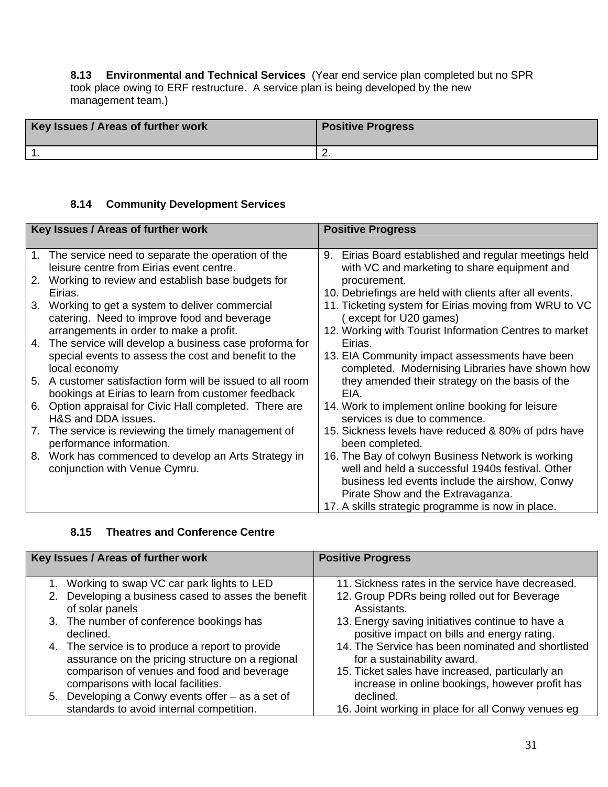**8.13 Environmental and Technical Services** (Year end service plan completed but no SPR took place owing to ERF restructure. A service plan is being developed by the new management team.)

| Key Issues / Areas of further work | <b>Positive Progress</b> |
|------------------------------------|--------------------------|
|                                    | <u>.</u>                 |

#### **8.14 Community Development Services**

| Key Issues / Areas of further work |                                                                                                  | <b>Positive Progress</b>                                                                                 |
|------------------------------------|--------------------------------------------------------------------------------------------------|----------------------------------------------------------------------------------------------------------|
|                                    | 1. The service need to separate the operation of the<br>leisure centre from Eirias event centre. | Eirias Board established and regular meetings held<br>9.<br>with VC and marketing to share equipment and |
|                                    | 2. Working to review and establish base budgets for                                              | procurement.                                                                                             |
|                                    | Eirias.                                                                                          | 10. Debriefings are held with clients after all events.                                                  |
| 3.                                 | Working to get a system to deliver commercial<br>catering. Need to improve food and beverage     | 11. Ticketing system for Eirias moving from WRU to VC<br>except for U20 games)                           |
|                                    | arrangements in order to make a profit.                                                          | 12. Working with Tourist Information Centres to market                                                   |
|                                    | 4. The service will develop a business case proforma for                                         | Eirias.                                                                                                  |
|                                    | special events to assess the cost and benefit to the                                             | 13. EIA Community impact assessments have been                                                           |
|                                    | local economy                                                                                    | completed. Modernising Libraries have shown how                                                          |
| 5.                                 | A customer satisfaction form will be issued to all room                                          | they amended their strategy on the basis of the                                                          |
|                                    | bookings at Eirias to learn from customer feedback                                               | EIA.                                                                                                     |
| 6.                                 | Option appraisal for Civic Hall completed. There are<br>H&S and DDA issues.                      | 14. Work to implement online booking for leisure<br>services is due to commence.                         |
|                                    |                                                                                                  |                                                                                                          |
|                                    | 7. The service is reviewing the timely management of<br>performance information.                 | 15. Sickness levels have reduced & 80% of pdrs have<br>been completed.                                   |
| 8.                                 | Work has commenced to develop an Arts Strategy in                                                | 16. The Bay of colwyn Business Network is working                                                        |
|                                    | conjunction with Venue Cymru.                                                                    | well and held a successful 1940s festival. Other                                                         |
|                                    |                                                                                                  | business led events include the airshow, Conwy                                                           |
|                                    |                                                                                                  | Pirate Show and the Extravaganza.                                                                        |
|                                    |                                                                                                  | 17. A skills strategic programme is now in place.                                                        |

#### **8.15 Theatres and Conference Centre**

| Key Issues / Areas of further work |                                                                                                      | <b>Positive Progress</b>                                                                            |
|------------------------------------|------------------------------------------------------------------------------------------------------|-----------------------------------------------------------------------------------------------------|
|                                    | 1. Working to swap VC car park lights to LED                                                         | 11. Sickness rates in the service have decreased.                                                   |
|                                    | 2. Developing a business cased to asses the benefit<br>of solar panels                               | 12. Group PDRs being rolled out for Beverage<br>Assistants.                                         |
|                                    | 3. The number of conference bookings has<br>declined.                                                | 13. Energy saving initiatives continue to have a<br>positive impact on bills and energy rating.     |
|                                    | 4. The service is to produce a report to provide<br>assurance on the pricing structure on a regional | 14. The Service has been nominated and shortlisted<br>for a sustainability award.                   |
|                                    | comparison of venues and food and beverage<br>comparisons with local facilities.                     | 15. Ticket sales have increased, particularly an<br>increase in online bookings, however profit has |
|                                    | 5. Developing a Conwy events offer - as a set of                                                     | declined.                                                                                           |
|                                    | standards to avoid internal competition.                                                             | 16. Joint working in place for all Conwy venues eg                                                  |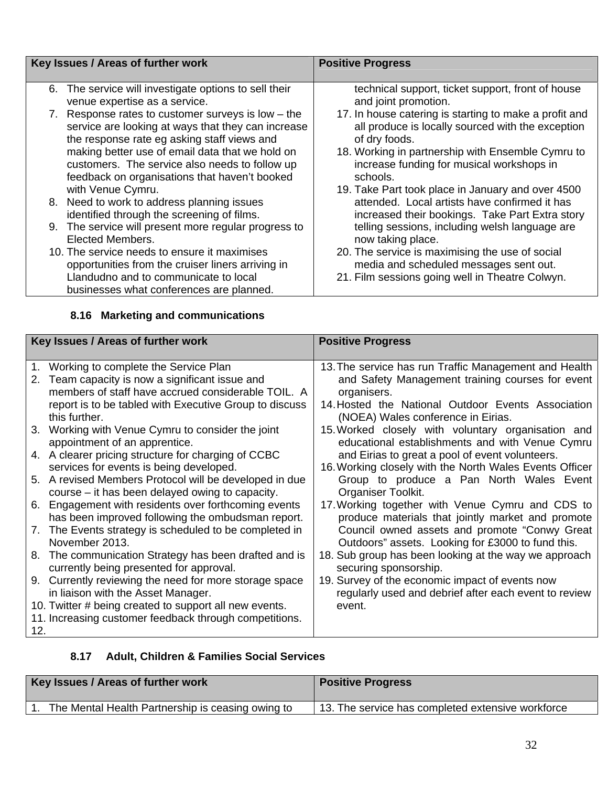| Key Issues / Areas of further work |                                                                                                                                                    | <b>Positive Progress</b>                                                                                                            |
|------------------------------------|----------------------------------------------------------------------------------------------------------------------------------------------------|-------------------------------------------------------------------------------------------------------------------------------------|
| 6.                                 | The service will investigate options to sell their<br>venue expertise as a service.<br>7. Response rates to customer surveys is low $-$ the        | technical support, ticket support, front of house<br>and joint promotion.<br>17. In house catering is starting to make a profit and |
|                                    | service are looking at ways that they can increase<br>the response rate eg asking staff views and                                                  | all produce is locally sourced with the exception<br>of dry foods.                                                                  |
|                                    | making better use of email data that we hold on<br>customers. The service also needs to follow up<br>feedback on organisations that haven't booked | 18. Working in partnership with Ensemble Cymru to<br>increase funding for musical workshops in<br>schools.                          |
|                                    | with Venue Cymru.<br>8. Need to work to address planning issues                                                                                    | 19. Take Part took place in January and over 4500<br>attended. Local artists have confirmed it has                                  |
|                                    | identified through the screening of films.                                                                                                         | increased their bookings. Take Part Extra story                                                                                     |
|                                    | 9. The service will present more regular progress to<br>Elected Members.                                                                           | telling sessions, including welsh language are<br>now taking place.                                                                 |
|                                    | 10. The service needs to ensure it maximises<br>opportunities from the cruiser liners arriving in                                                  | 20. The service is maximising the use of social<br>media and scheduled messages sent out.                                           |
|                                    | Llandudno and to communicate to local<br>businesses what conferences are planned.                                                                  | 21. Film sessions going well in Theatre Colwyn.                                                                                     |

# **8.16 Marketing and communications**

| Key Issues / Areas of further work                     |                                                        | <b>Positive Progress</b>                                |
|--------------------------------------------------------|--------------------------------------------------------|---------------------------------------------------------|
|                                                        |                                                        |                                                         |
| $1_{-}$                                                | Working to complete the Service Plan                   | 13. The service has run Traffic Management and Health   |
| 2.                                                     | Team capacity is now a significant issue and           | and Safety Management training courses for event        |
|                                                        | members of staff have accrued considerable TOIL. A     | organisers.                                             |
|                                                        | report is to be tabled with Executive Group to discuss | 14. Hosted the National Outdoor Events Association      |
|                                                        | this further.                                          | (NOEA) Wales conference in Eirias.                      |
| 3.                                                     | Working with Venue Cymru to consider the joint         | 15. Worked closely with voluntary organisation and      |
|                                                        | appointment of an apprentice.                          | educational establishments and with Venue Cymru         |
|                                                        | 4. A clearer pricing structure for charging of CCBC    | and Eirias to great a pool of event volunteers.         |
|                                                        | services for events is being developed.                | 16. Working closely with the North Wales Events Officer |
|                                                        | 5. A revised Members Protocol will be developed in due | Group to produce a Pan North Wales Event                |
|                                                        | course – it has been delayed owing to capacity.        | Organiser Toolkit.                                      |
| 6.                                                     | Engagement with residents over forthcoming events      | 17. Working together with Venue Cymru and CDS to        |
|                                                        | has been improved following the ombudsman report.      | produce materials that jointly market and promote       |
| 7.                                                     | The Events strategy is scheduled to be completed in    | Council owned assets and promote "Conwy Great           |
|                                                        | November 2013.                                         | Outdoors" assets. Looking for £3000 to fund this.       |
| 8.                                                     | The communication Strategy has been drafted and is     | 18. Sub group has been looking at the way we approach   |
|                                                        | currently being presented for approval.                | securing sponsorship.                                   |
| 9.                                                     | Currently reviewing the need for more storage space    | 19. Survey of the economic impact of events now         |
|                                                        | in liaison with the Asset Manager.                     | regularly used and debrief after each event to review   |
|                                                        | 10. Twitter # being created to support all new events. | event.                                                  |
| 11. Increasing customer feedback through competitions. |                                                        |                                                         |
| 12.                                                    |                                                        |                                                         |

# **8.17 Adult, Children & Families Social Services**

| Key Issues / Areas of further work                | <b>Positive Progress</b>                          |
|---------------------------------------------------|---------------------------------------------------|
| The Mental Health Partnership is ceasing owing to | 13. The service has completed extensive workforce |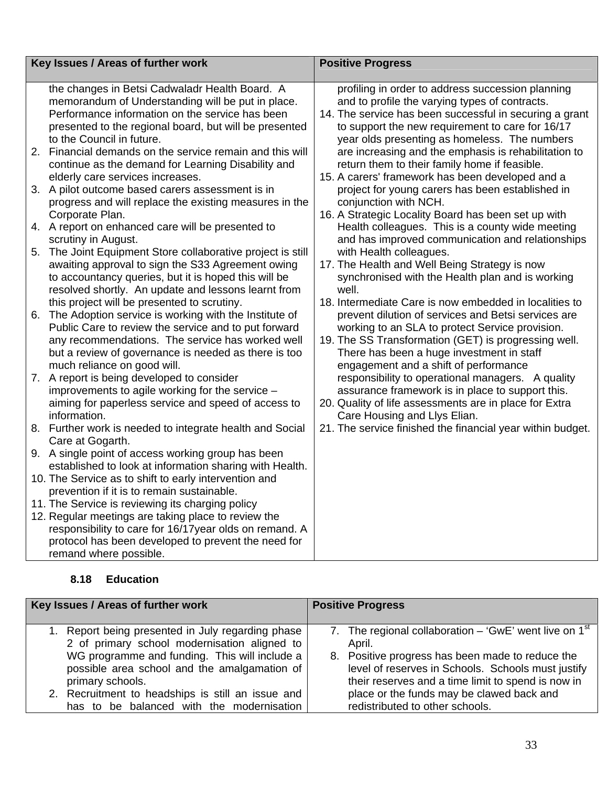|    | Key Issues / Areas of further work                                                                                                                                    | <b>Positive Progress</b>                                                                                                                                       |
|----|-----------------------------------------------------------------------------------------------------------------------------------------------------------------------|----------------------------------------------------------------------------------------------------------------------------------------------------------------|
|    |                                                                                                                                                                       |                                                                                                                                                                |
|    | the changes in Betsi Cadwaladr Health Board. A<br>memorandum of Understanding will be put in place.<br>Performance information on the service has been                | profiling in order to address succession planning<br>and to profile the varying types of contracts.<br>14. The service has been successful in securing a grant |
|    | presented to the regional board, but will be presented<br>to the Council in future.                                                                                   | to support the new requirement to care for 16/17<br>year olds presenting as homeless. The numbers                                                              |
|    | 2. Financial demands on the service remain and this will<br>continue as the demand for Learning Disability and                                                        | are increasing and the emphasis is rehabilitation to<br>return them to their family home if feasible.                                                          |
|    | elderly care services increases.<br>3. A pilot outcome based carers assessment is in                                                                                  | 15. A carers' framework has been developed and a<br>project for young carers has been established in                                                           |
|    | progress and will replace the existing measures in the<br>Corporate Plan.                                                                                             | conjunction with NCH.<br>16. A Strategic Locality Board has been set up with                                                                                   |
|    | 4. A report on enhanced care will be presented to<br>scrutiny in August.                                                                                              | Health colleagues. This is a county wide meeting<br>and has improved communication and relationships                                                           |
| 5. | The Joint Equipment Store collaborative project is still<br>awaiting approval to sign the S33 Agreement owing<br>to accountancy queries, but it is hoped this will be | with Health colleagues.<br>17. The Health and Well Being Strategy is now<br>synchronised with the Health plan and is working                                   |
|    | resolved shortly. An update and lessons learnt from                                                                                                                   | well.                                                                                                                                                          |
| 6. | this project will be presented to scrutiny.<br>The Adoption service is working with the Institute of                                                                  | 18. Intermediate Care is now embedded in localities to<br>prevent dilution of services and Betsi services are                                                  |
|    | Public Care to review the service and to put forward<br>any recommendations. The service has worked well                                                              | working to an SLA to protect Service provision.<br>19. The SS Transformation (GET) is progressing well.                                                        |
|    | but a review of governance is needed as there is too<br>much reliance on good will.                                                                                   | There has been a huge investment in staff<br>engagement and a shift of performance                                                                             |
|    | 7. A report is being developed to consider<br>improvements to agile working for the service -                                                                         | responsibility to operational managers. A quality<br>assurance framework is in place to support this.                                                          |
|    | aiming for paperless service and speed of access to<br>information.                                                                                                   | 20. Quality of life assessments are in place for Extra<br>Care Housing and Llys Elian.                                                                         |
|    | 8. Further work is needed to integrate health and Social<br>Care at Gogarth.                                                                                          | 21. The service finished the financial year within budget.                                                                                                     |
|    | 9. A single point of access working group has been<br>established to look at information sharing with Health.                                                         |                                                                                                                                                                |
|    | 10. The Service as to shift to early intervention and<br>prevention if it is to remain sustainable.                                                                   |                                                                                                                                                                |
|    | 11. The Service is reviewing its charging policy                                                                                                                      |                                                                                                                                                                |
|    | 12. Regular meetings are taking place to review the                                                                                                                   |                                                                                                                                                                |
|    | responsibility to care for 16/17 year olds on remand. A                                                                                                               |                                                                                                                                                                |
|    | protocol has been developed to prevent the need for                                                                                                                   |                                                                                                                                                                |
|    | remand where possible.                                                                                                                                                |                                                                                                                                                                |

# **8.18 Education**

| Key Issues / Areas of further work                | <b>Positive Progress</b>                                 |  |
|---------------------------------------------------|----------------------------------------------------------|--|
| 1. Report being presented in July regarding phase | 7. The regional collaboration – 'GwE' went live on $1st$ |  |
| 2 of primary school modernisation aligned to      | April.                                                   |  |
| WG programme and funding. This will include a     | 8. Positive progress has been made to reduce the         |  |
| possible area school and the amalgamation of      | level of reserves in Schools. Schools must justify       |  |
| primary schools.                                  | their reserves and a time limit to spend is now in       |  |
| 2. Recruitment to headships is still an issue and | place or the funds may be clawed back and                |  |
| has to be balanced with the modernisation         | redistributed to other schools.                          |  |